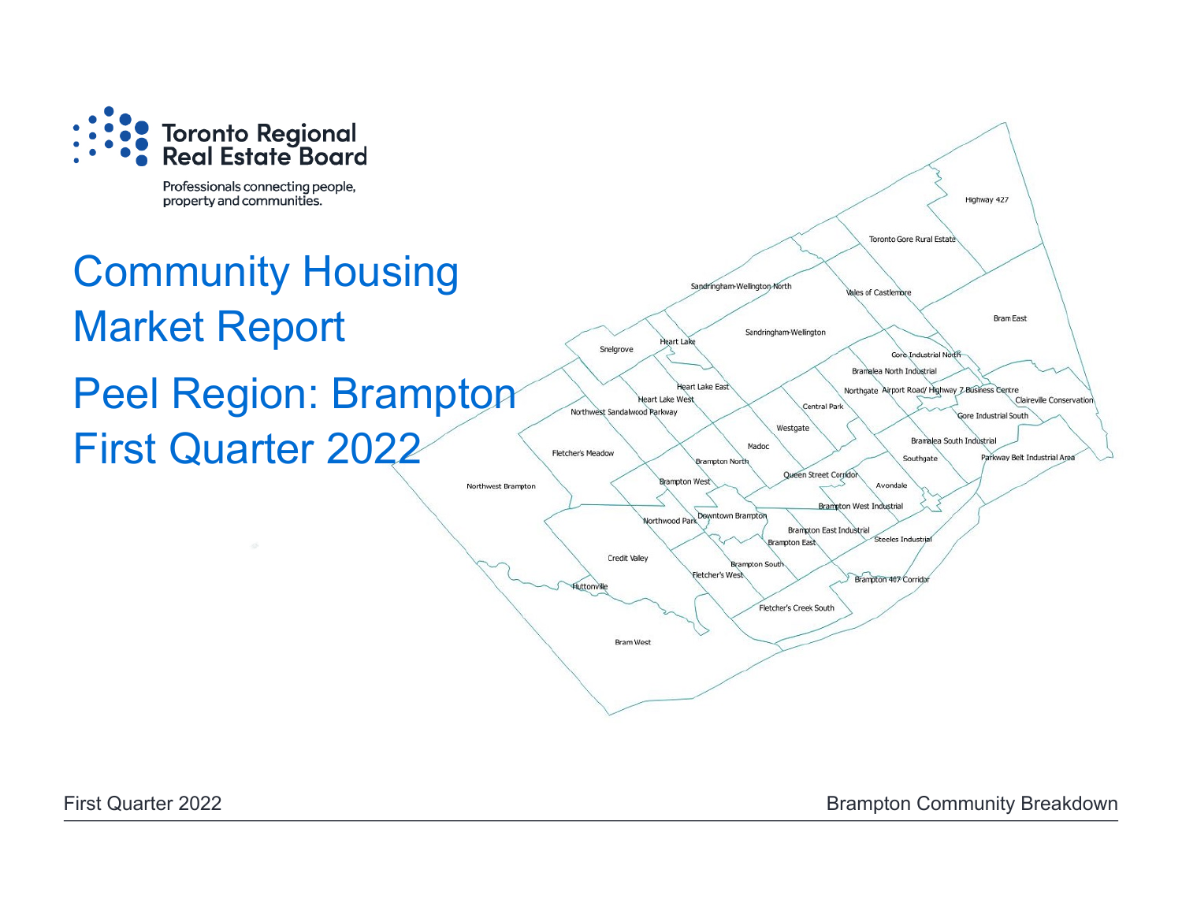

Professionals connecting people, property and communities.

# Community Housing Market Report Peel Region: Brampton First Quarter 2022



First Quarter 2022 **Brampton Community Breakdown**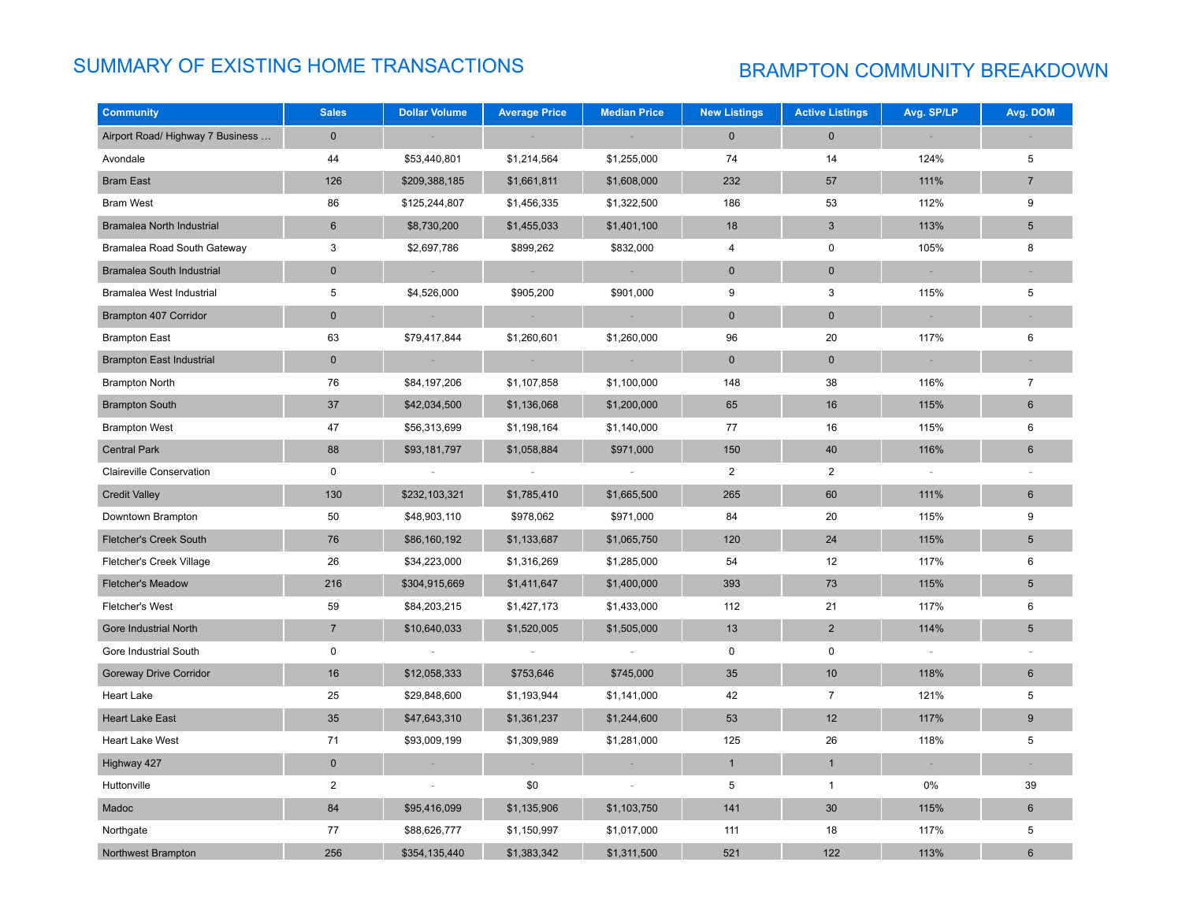# SUMMARY OF EXISTING HOME TRANSACTIONS BRAMPTON COMMUNITY BREAKDOWN

| <b>Community</b>                 | <b>Sales</b>   | <b>Dollar Volume</b>     | <b>Average Price</b>     | <b>Median Price</b>      | <b>New Listings</b> | <b>Active Listings</b> | Avg. SP/LP | Avg. DOM        |
|----------------------------------|----------------|--------------------------|--------------------------|--------------------------|---------------------|------------------------|------------|-----------------|
| Airport Road/ Highway 7 Business | $\mathbf 0$    |                          |                          |                          | $\mathbf{0}$        | $\mathbf{0}$           |            |                 |
| Avondale                         | 44             | \$53,440,801             | \$1,214,564              | \$1,255,000              | 74                  | 14                     | 124%       | 5               |
| <b>Bram East</b>                 | 126            | \$209,388,185            | \$1,661,811              | \$1,608,000              | 232                 | 57                     | 111%       | $\overline{7}$  |
| <b>Bram West</b>                 | 86             | \$125,244,807            | \$1,456,335              | \$1,322,500              | 186                 | 53                     | 112%       | 9               |
| Bramalea North Industrial        | $6\phantom{.}$ | \$8,730,200              | \$1,455,033              | \$1,401,100              | 18                  | $\sqrt{3}$             | 113%       | 5               |
| Bramalea Road South Gateway      | 3              | \$2,697,786              | \$899,262                | \$832,000                | $\overline{4}$      | $\pmb{0}$              | 105%       | 8               |
| <b>Bramalea South Industrial</b> | $\mathbf 0$    |                          | ×                        |                          | $\mathbf 0$         | $\mathbf 0$            | $\sim$     |                 |
| Bramalea West Industrial         | 5              | \$4,526,000              | \$905,200                | \$901,000                | 9                   | 3                      | 115%       | 5               |
| Brampton 407 Corridor            | $\mathbf 0$    |                          |                          |                          | $\mathbf 0$         | $\pmb{0}$              | $\sim$     |                 |
| <b>Brampton East</b>             | 63             | \$79,417,844             | \$1,260,601              | \$1,260,000              | 96                  | 20                     | 117%       | 6               |
| <b>Brampton East Industrial</b>  | $\mathbf 0$    |                          |                          |                          | $\mathbf 0$         | $\pmb{0}$              |            |                 |
| <b>Brampton North</b>            | 76             | \$84,197,206             | \$1,107,858              | \$1,100,000              | 148                 | 38                     | 116%       | $\overline{7}$  |
| <b>Brampton South</b>            | 37             | \$42,034,500             | \$1,136,068              | \$1,200,000              | 65                  | 16                     | 115%       | $6\phantom{1}$  |
| <b>Brampton West</b>             | 47             | \$56,313,699             | \$1,198,164              | \$1,140,000              | 77                  | 16                     | 115%       | 6               |
| <b>Central Park</b>              | 88             | \$93,181,797             | \$1,058,884              | \$971,000                | 150                 | 40                     | 116%       | 6               |
| Claireville Conservation         | $\mathsf{O}$   |                          | $\overline{\phantom{a}}$ | $\sim$                   | $\overline{2}$      | $\overline{2}$         | $\sim$     |                 |
| <b>Credit Valley</b>             | 130            | \$232,103,321            | \$1,785,410              | \$1,665,500              | 265                 | 60                     | 111%       | 6               |
| Downtown Brampton                | 50             | \$48,903,110             | \$978,062                | \$971,000                | 84                  | 20                     | 115%       | 9               |
| <b>Fletcher's Creek South</b>    | 76             | \$86,160,192             | \$1,133,687              | \$1,065,750              | 120                 | 24                     | 115%       | $5\phantom{.0}$ |
| Fletcher's Creek Village         | 26             | \$34,223,000             | \$1,316,269              | \$1,285,000              | 54                  | 12                     | 117%       | 6               |
| <b>Fletcher's Meadow</b>         | 216            | \$304,915,669            | \$1,411,647              | \$1,400,000              | 393                 | 73                     | 115%       | $5\phantom{.0}$ |
| <b>Fletcher's West</b>           | 59             | \$84,203,215             | \$1,427,173              | \$1,433,000              | 112                 | 21                     | 117%       | 6               |
| Gore Industrial North            | $\overline{7}$ | \$10,640,033             | \$1,520,005              | \$1,505,000              | 13                  | $\overline{2}$         | 114%       | $\sqrt{5}$      |
| Gore Industrial South            | $\pmb{0}$      |                          |                          |                          | 0                   | $\pmb{0}$              |            |                 |
| <b>Goreway Drive Corridor</b>    | 16             | \$12,058,333             | \$753,646                | \$745,000                | 35                  | 10                     | 118%       | 6               |
| <b>Heart Lake</b>                | 25             | \$29,848,600             | \$1,193,944              | \$1,141,000              | 42                  | $\overline{7}$         | 121%       | 5               |
| <b>Heart Lake East</b>           | 35             | \$47,643,310             | \$1,361,237              | \$1,244,600              | 53                  | 12                     | 117%       | 9               |
| <b>Heart Lake West</b>           | 71             | \$93,009,199             | \$1,309,989              | \$1,281,000              | 125                 | 26                     | 118%       | 5               |
| Highway 427                      | $\pmb{0}$      | $\sim$                   | $\sim$                   | $\sim$                   | $\mathbf{1}$        | $\mathbf{1}$           | $\sim$     | $\sim$          |
| Huttonville                      | $\overline{2}$ | $\overline{\phantom{a}}$ | \$0                      | $\overline{\phantom{a}}$ | 5                   | $\mathbf{1}$           | 0%         | 39              |
| Madoc                            | 84             | \$95,416,099             | \$1,135,906              | \$1,103,750              | 141                 | 30                     | 115%       | $6\phantom{1}$  |
| Northgate                        | 77             | \$88,626,777             | \$1,150,997              | \$1,017,000              | 111                 | 18                     | 117%       | 5               |
| Northwest Brampton               | 256            | \$354,135,440            | \$1,383,342              | \$1,311,500              | 521                 | 122                    | 113%       | 6               |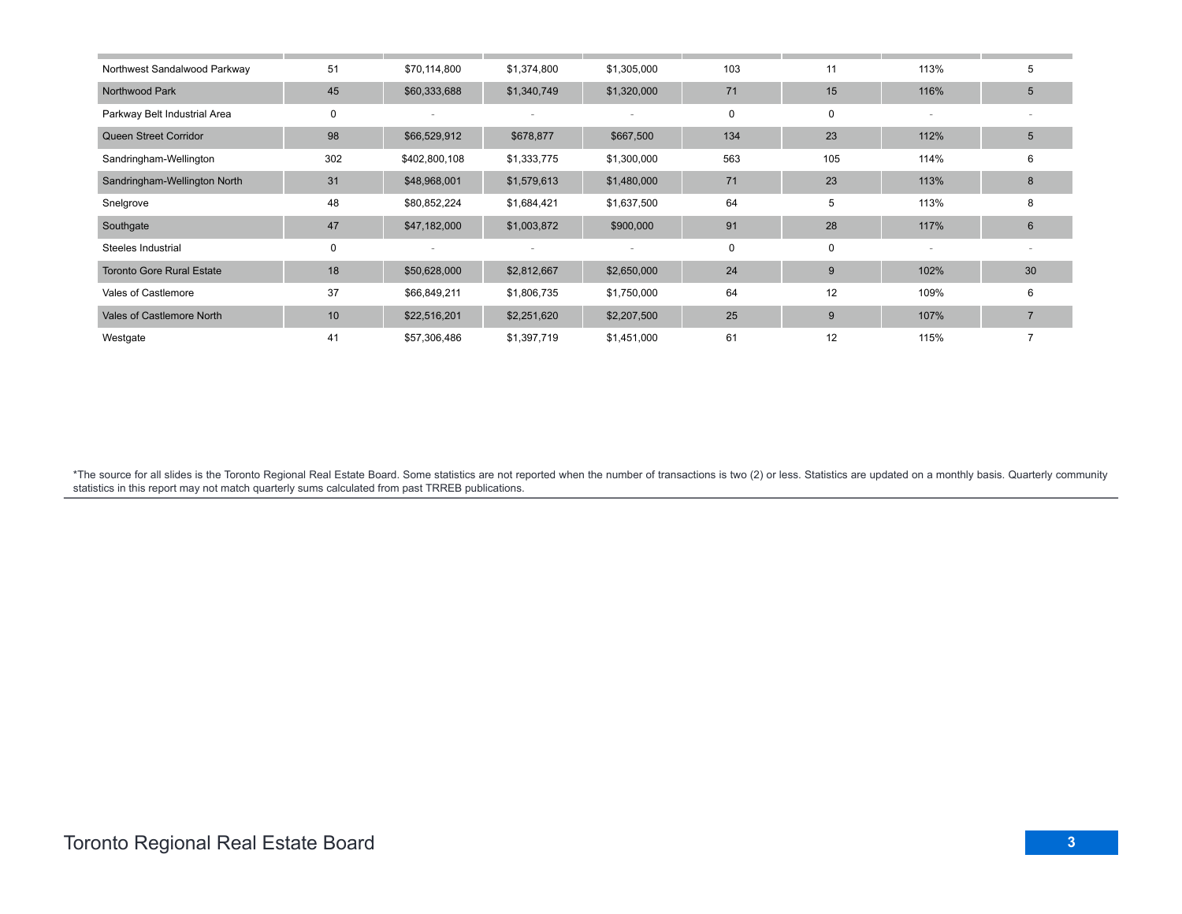| Northwest Sandalwood Parkway     | 51  | \$70,114,800  | \$1,374,800 | \$1,305,000 | 103 | 11  | 113% | 5  |
|----------------------------------|-----|---------------|-------------|-------------|-----|-----|------|----|
| Northwood Park                   | 45  | \$60,333,688  | \$1,340,749 | \$1,320,000 | 71  | 15  | 116% | 5  |
| Parkway Belt Industrial Area     | 0   |               |             |             | 0   | 0   |      |    |
| Queen Street Corridor            | 98  | \$66,529,912  | \$678,877   | \$667,500   | 134 | 23  | 112% | 5  |
| Sandringham-Wellington           | 302 | \$402,800,108 | \$1,333,775 | \$1,300,000 | 563 | 105 | 114% | 6  |
| Sandringham-Wellington North     | 31  | \$48,968,001  | \$1,579,613 | \$1,480,000 | 71  | 23  | 113% | 8  |
| Snelgrove                        | 48  | \$80,852,224  | \$1,684,421 | \$1,637,500 | 64  | 5   | 113% | 8  |
| Southgate                        | 47  | \$47,182,000  | \$1,003,872 | \$900,000   | 91  | 28  | 117% | 6  |
| Steeles Industrial               | 0   |               |             |             | 0   | 0   |      |    |
| <b>Toronto Gore Rural Estate</b> | 18  | \$50,628,000  | \$2,812,667 | \$2,650,000 | 24  | 9   | 102% | 30 |
| Vales of Castlemore              | 37  | \$66,849,211  | \$1,806,735 | \$1,750,000 | 64  | 12  | 109% | 6  |
| Vales of Castlemore North        | 10  | \$22,516,201  | \$2,251,620 | \$2,207,500 | 25  | 9   | 107% |    |
| Westgate                         | 41  | \$57,306,486  | \$1,397,719 | \$1,451,000 | 61  | 12  | 115% |    |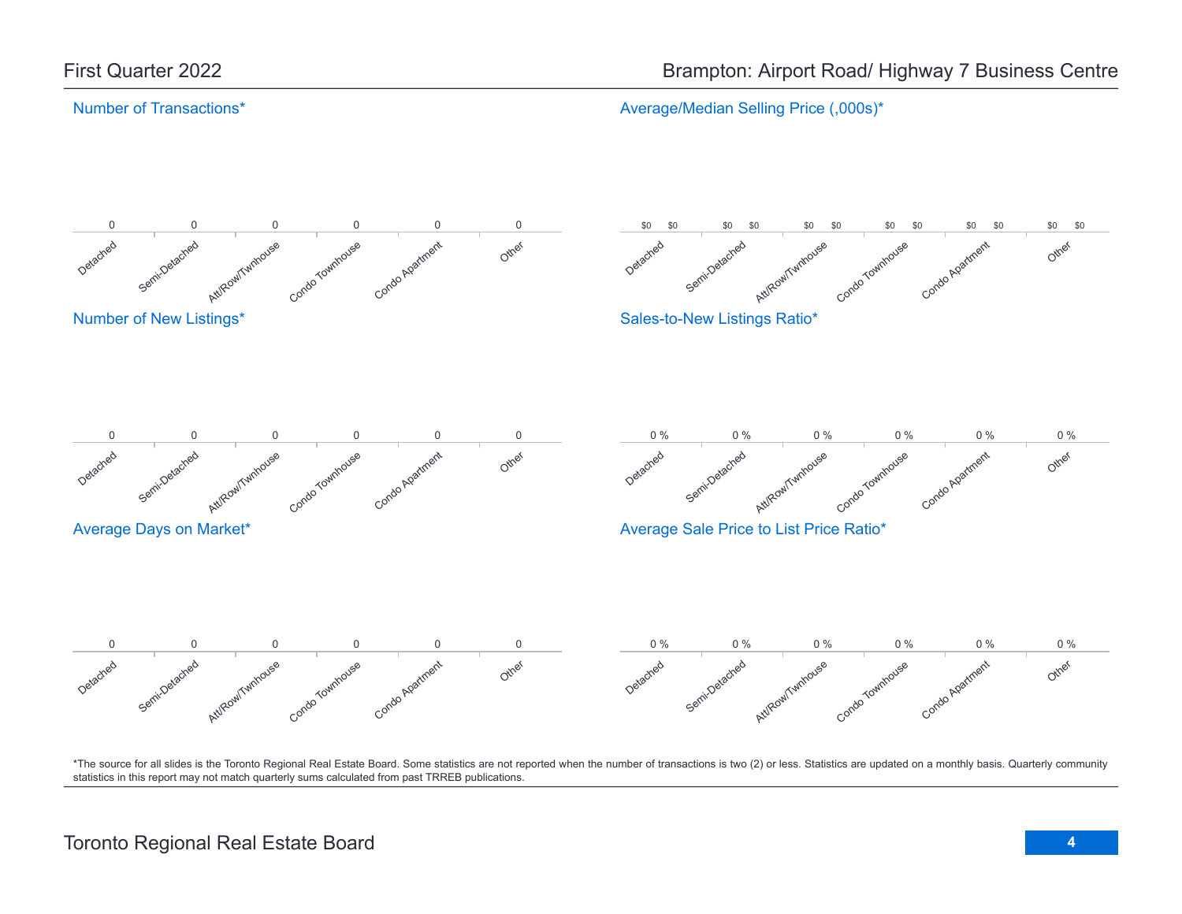Average/Median Selling Price (,000s)\*

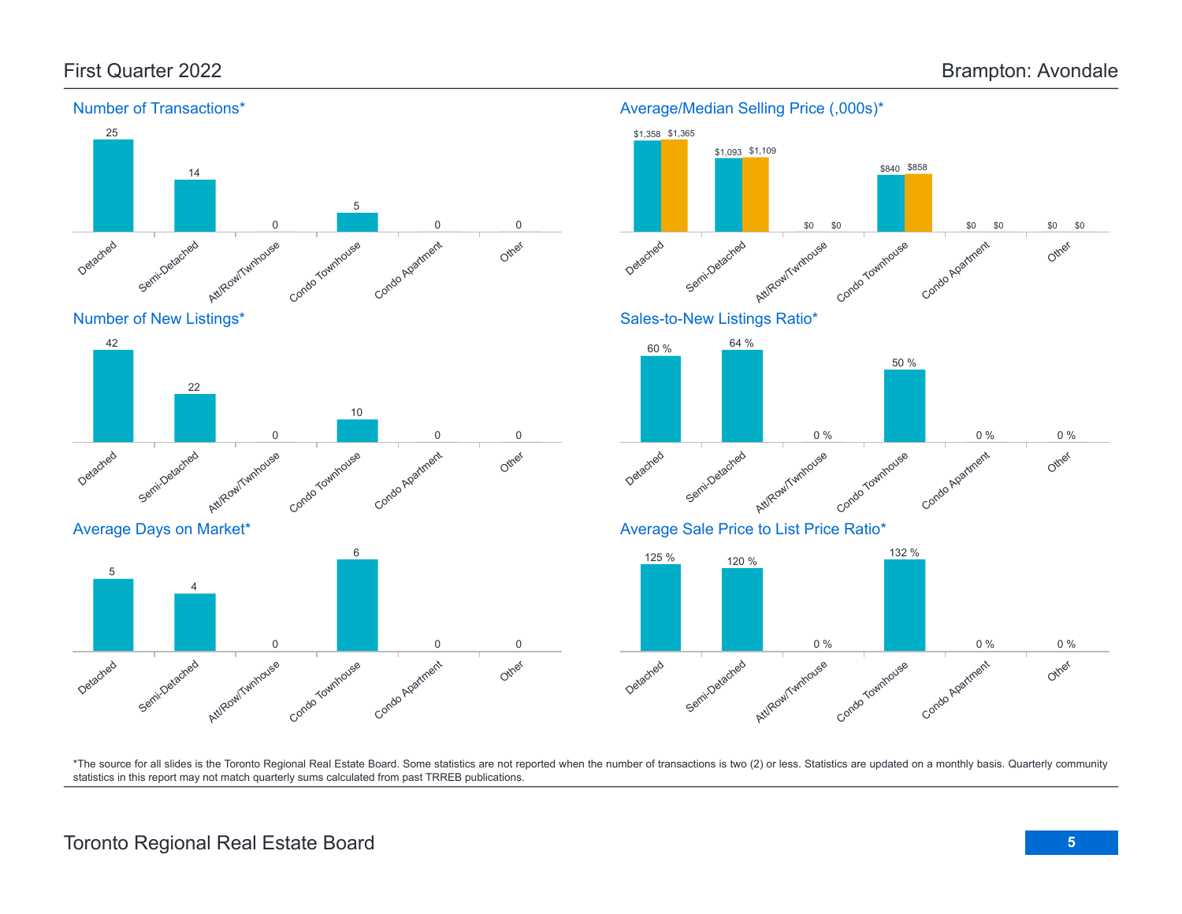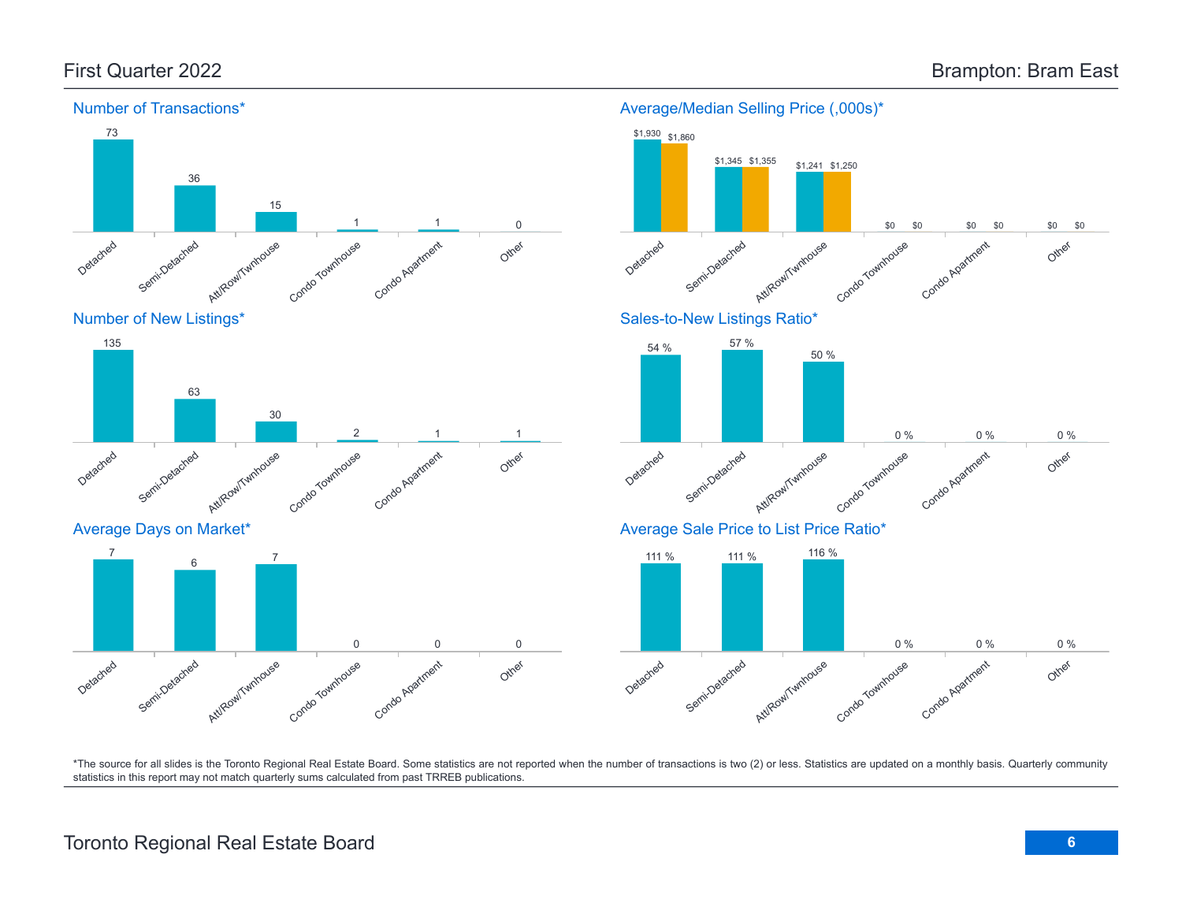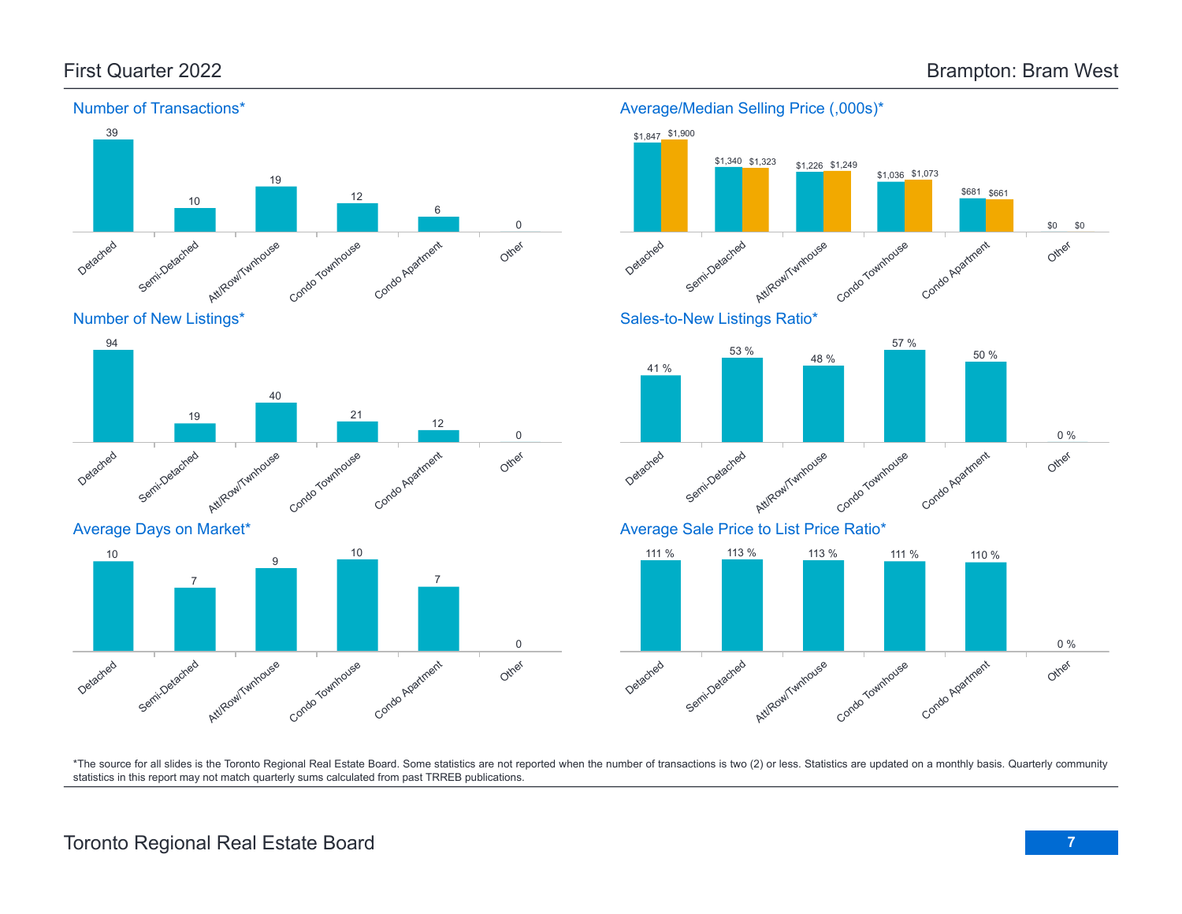

Number of New Listings\*







\*The source for all slides is the Toronto Regional Real Estate Board. Some statistics are not reported when the number of transactions is two (2) or less. Statistics are updated on a monthly basis. Quarterly community statistics in this report may not match quarterly sums calculated from past TRREB publications.

# Toronto Regional Real Estate Board **7**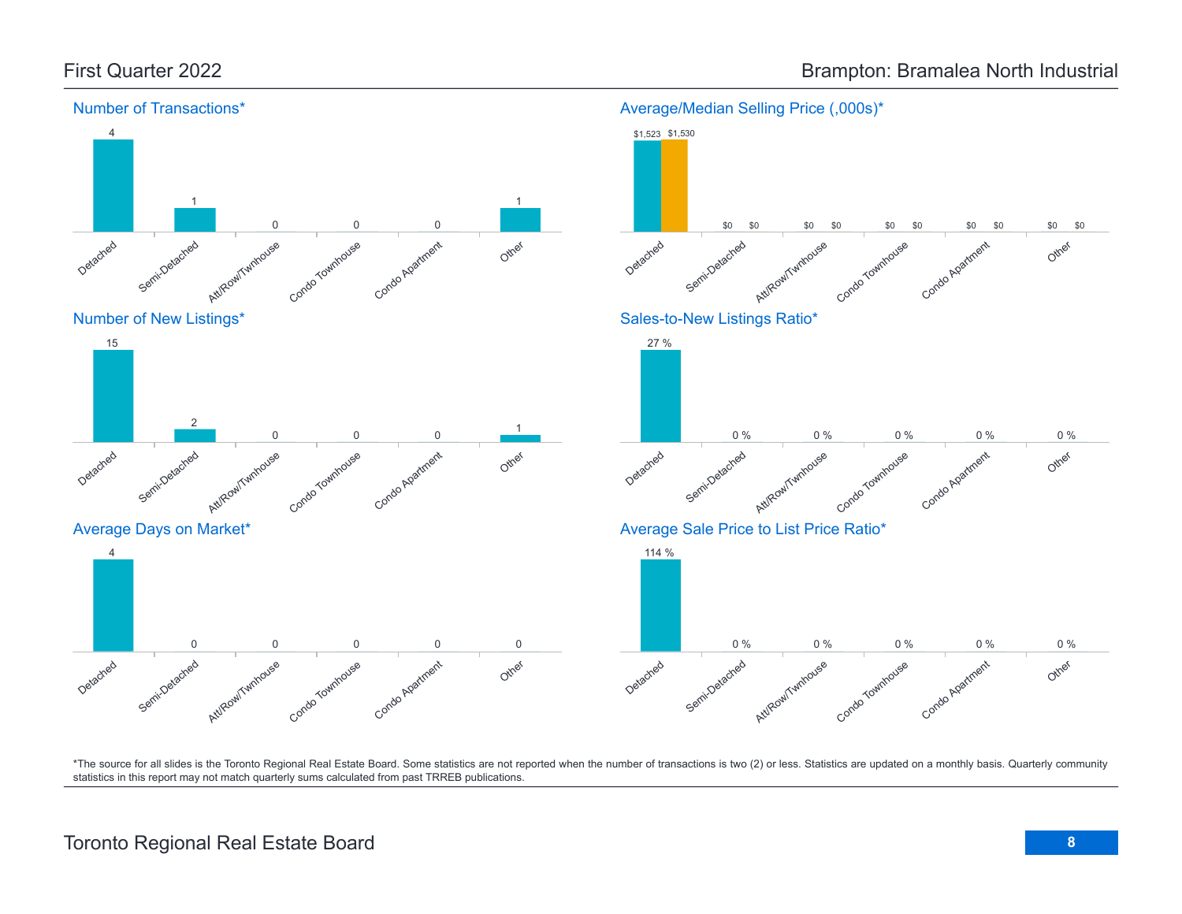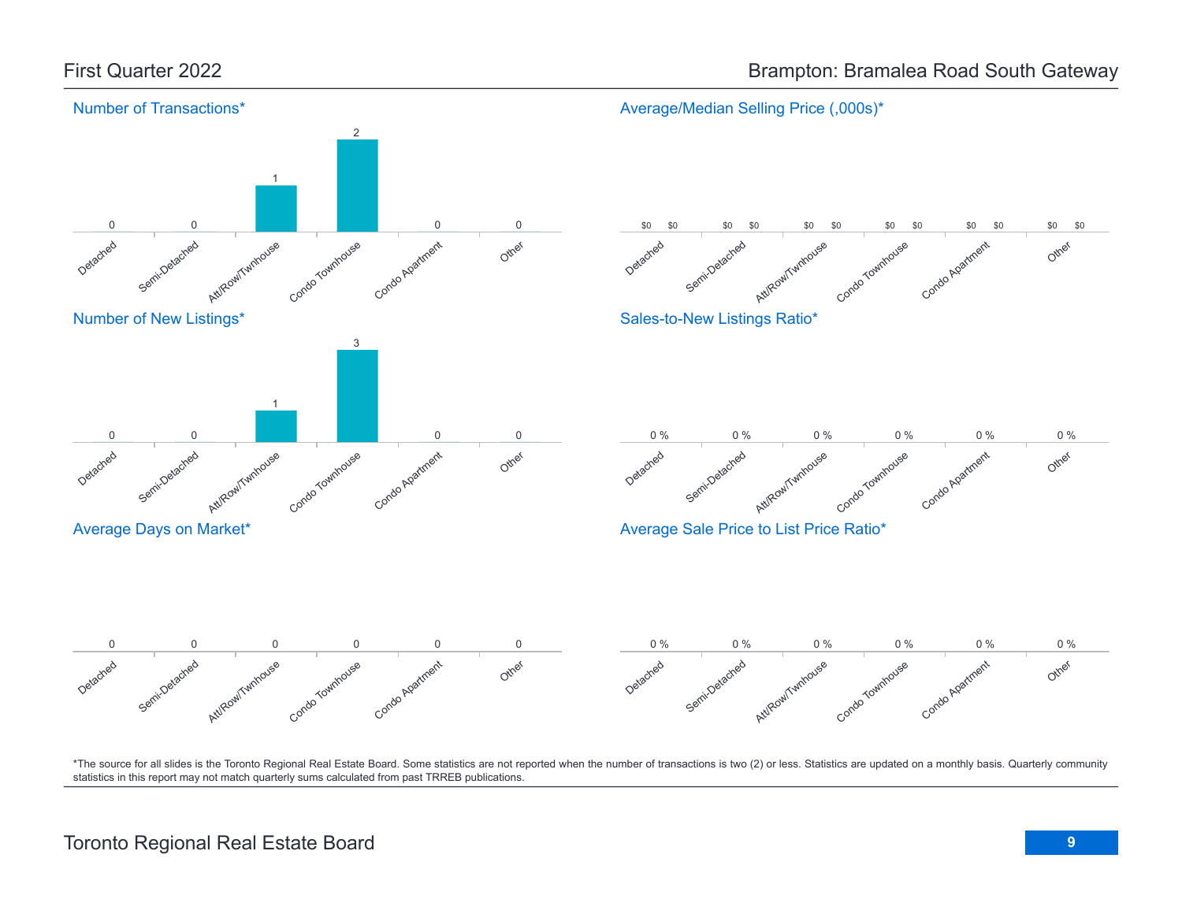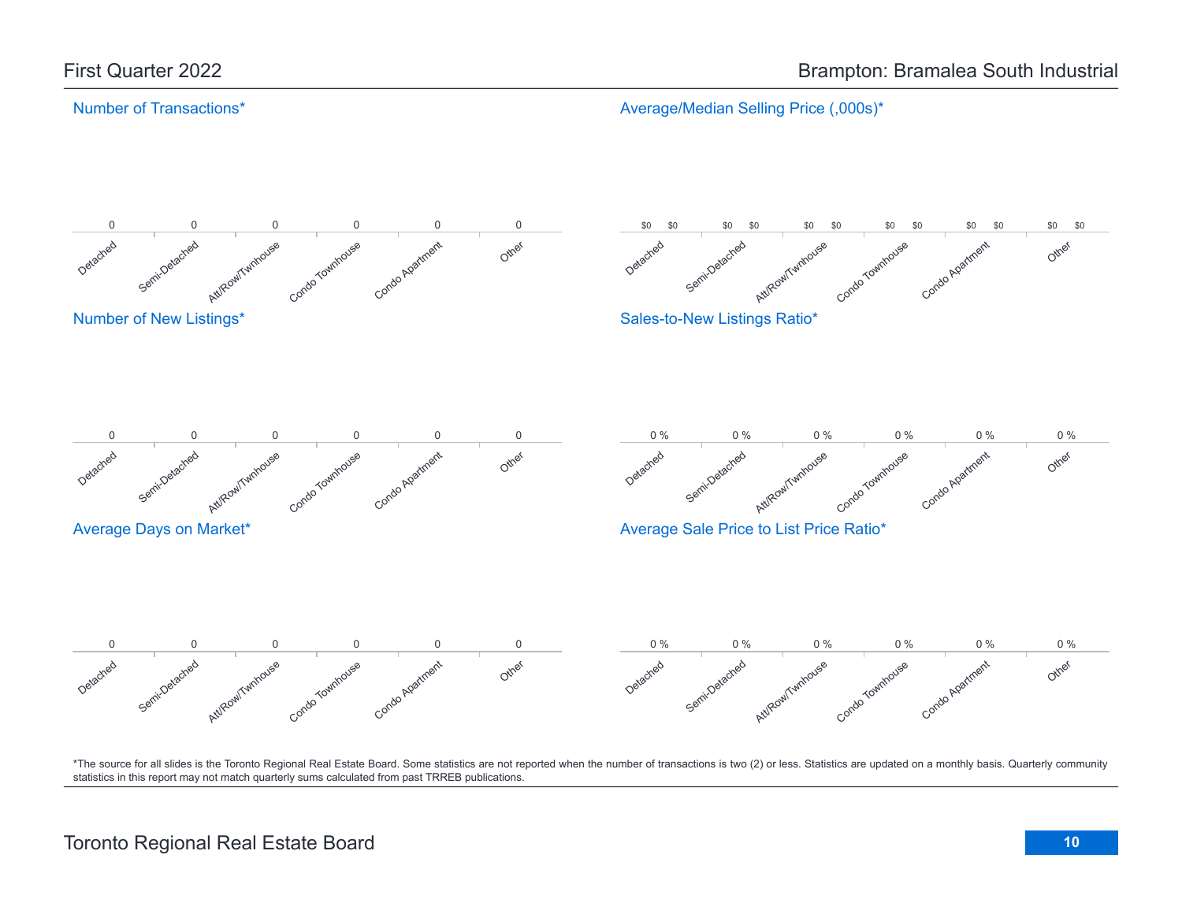Average/Median Selling Price (,000s)\*

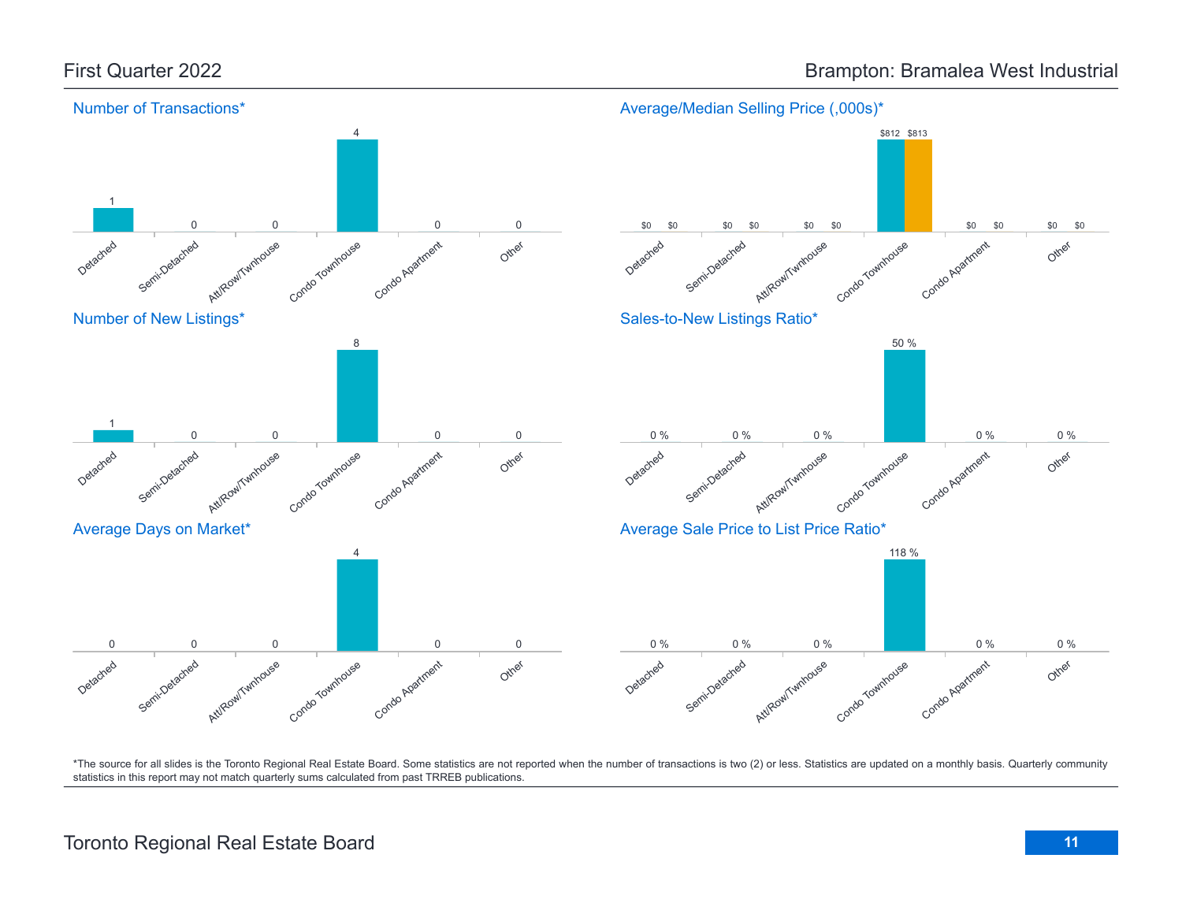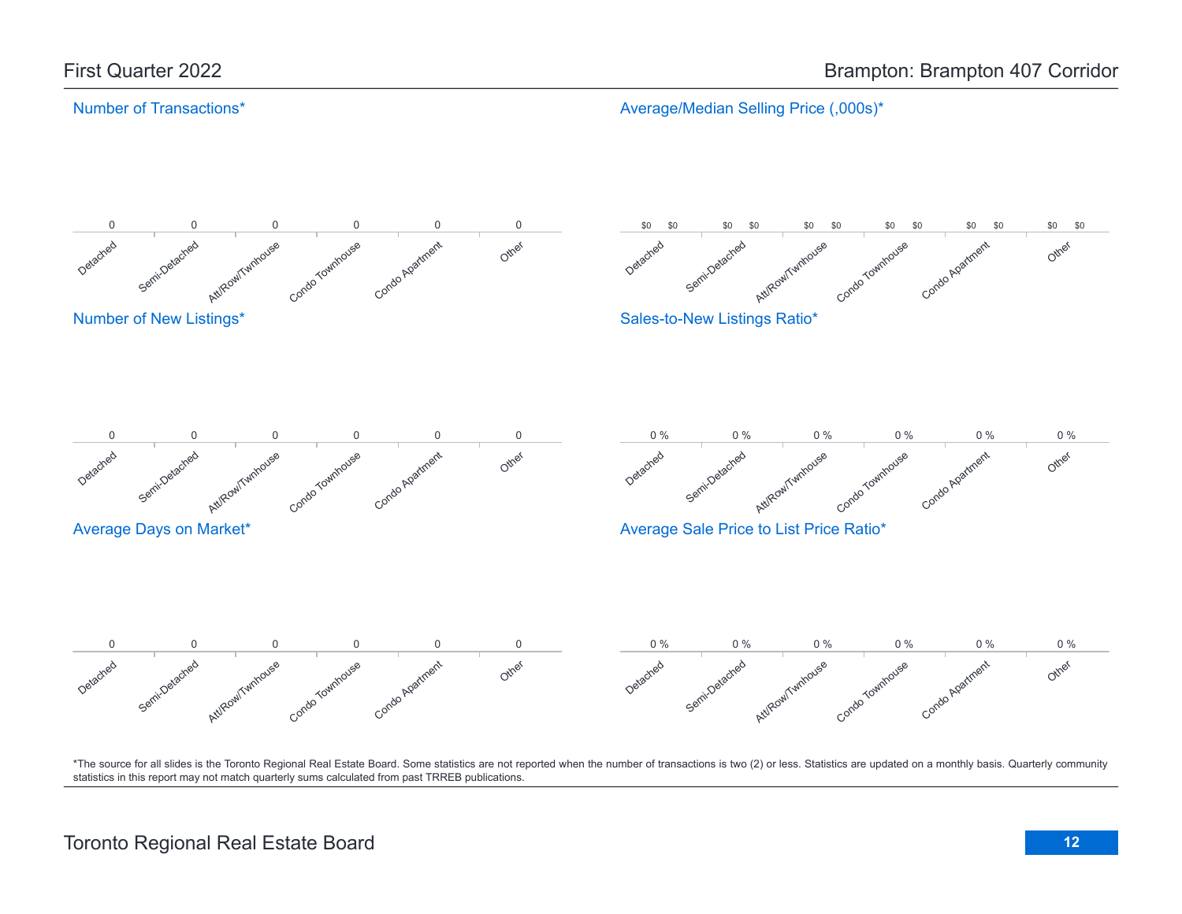Average/Median Selling Price (,000s)\*

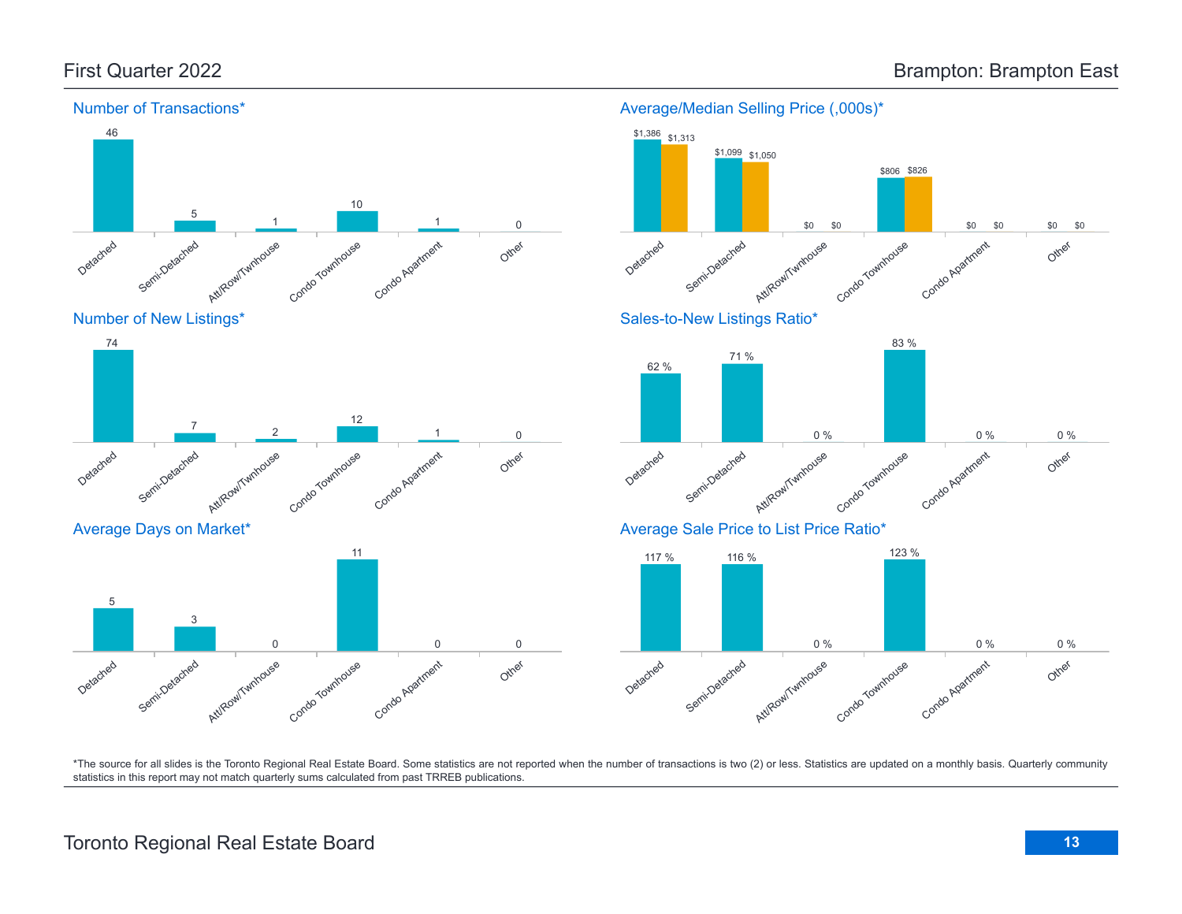

#### Average/Median Selling Price (,000s)\*

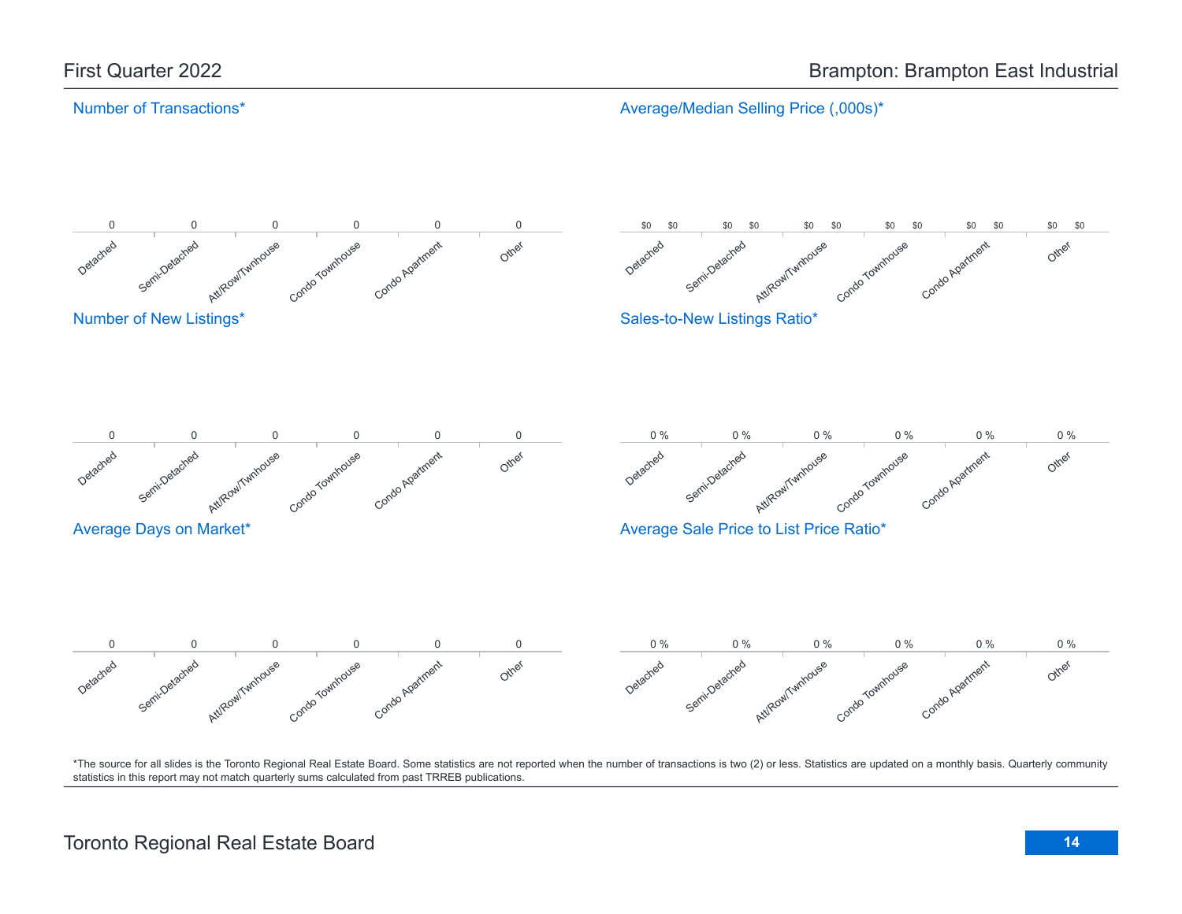Average/Median Selling Price (,000s)\*

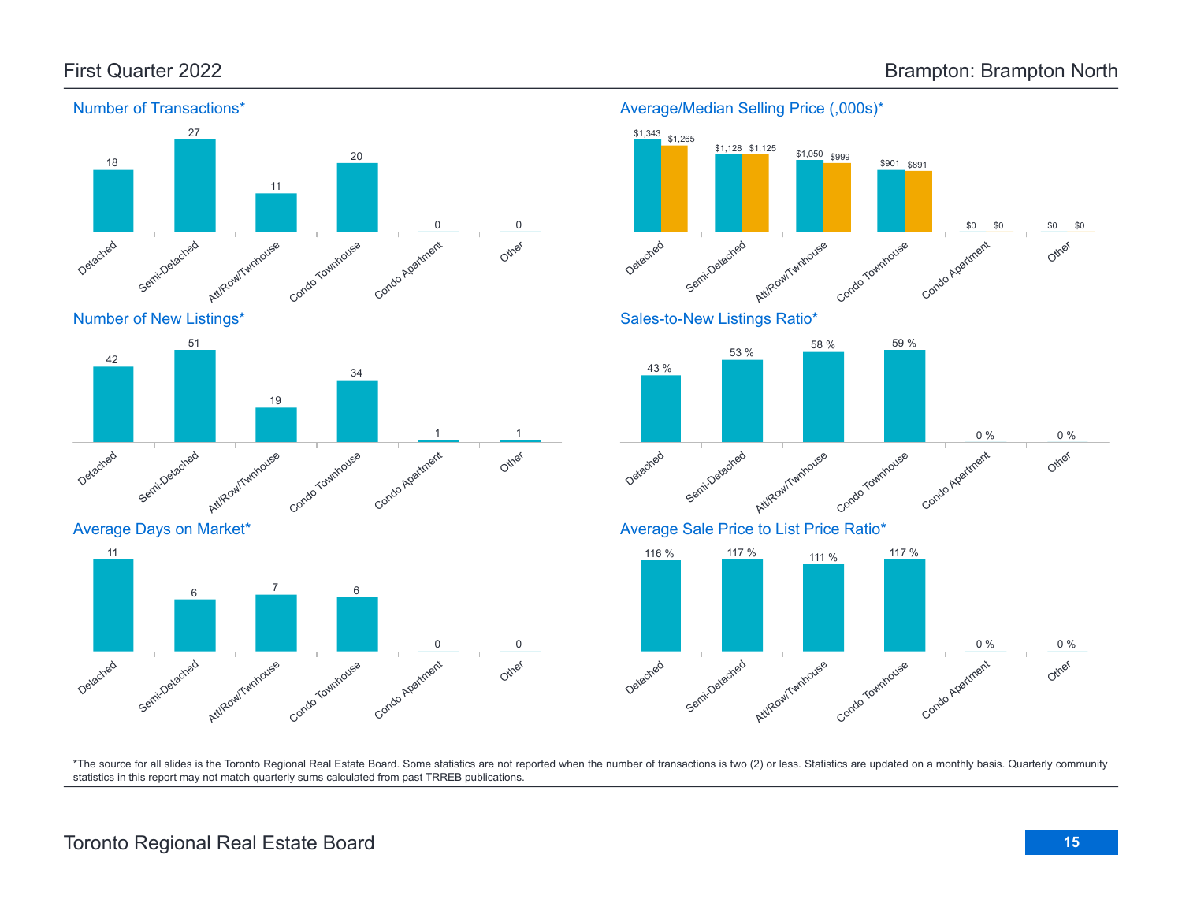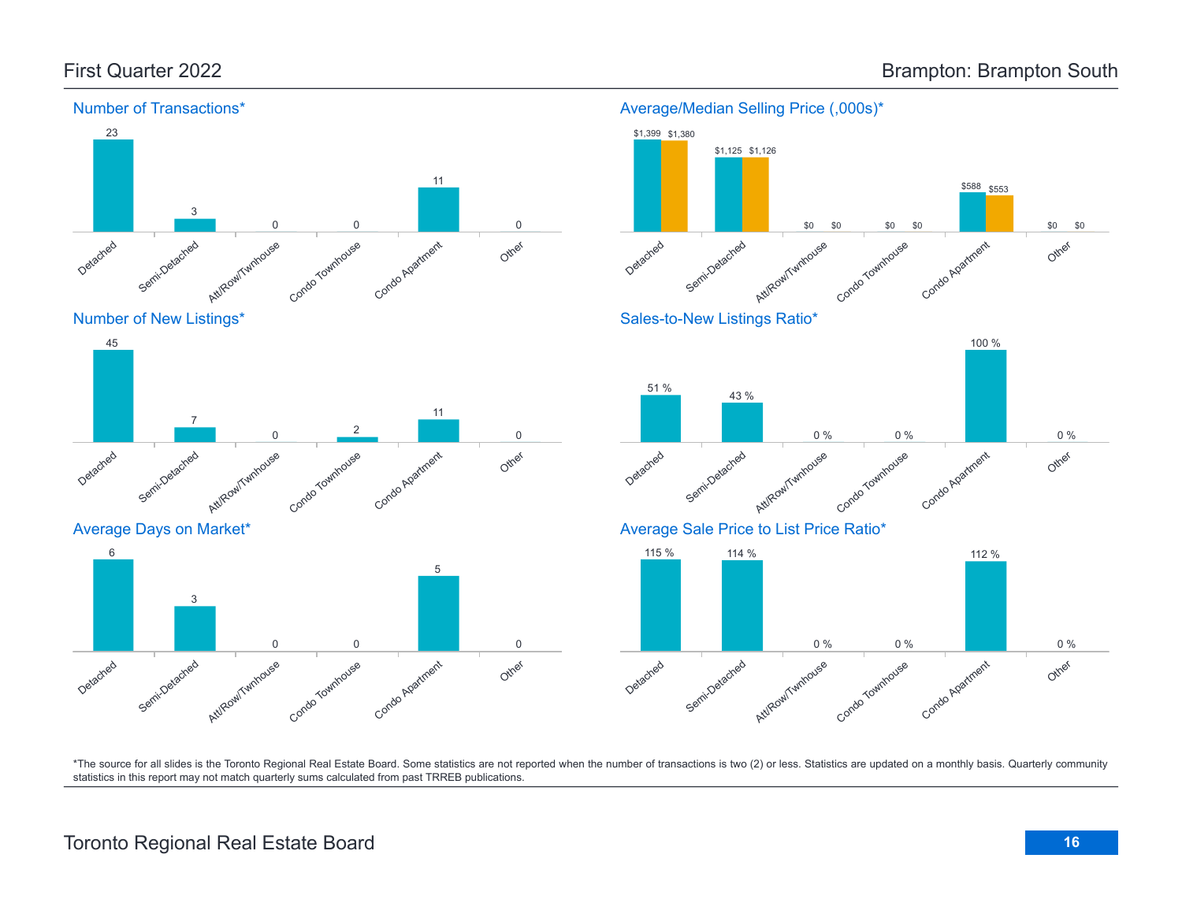

Number of New Listings\*



Average Days on Market\*





Average/Median Selling Price (,000s)\*

\*The source for all slides is the Toronto Regional Real Estate Board. Some statistics are not reported when the number of transactions is two (2) or less. Statistics are updated on a monthly basis. Quarterly community statistics in this report may not match quarterly sums calculated from past TRREB publications.

# Toronto Regional Real Estate Board **16**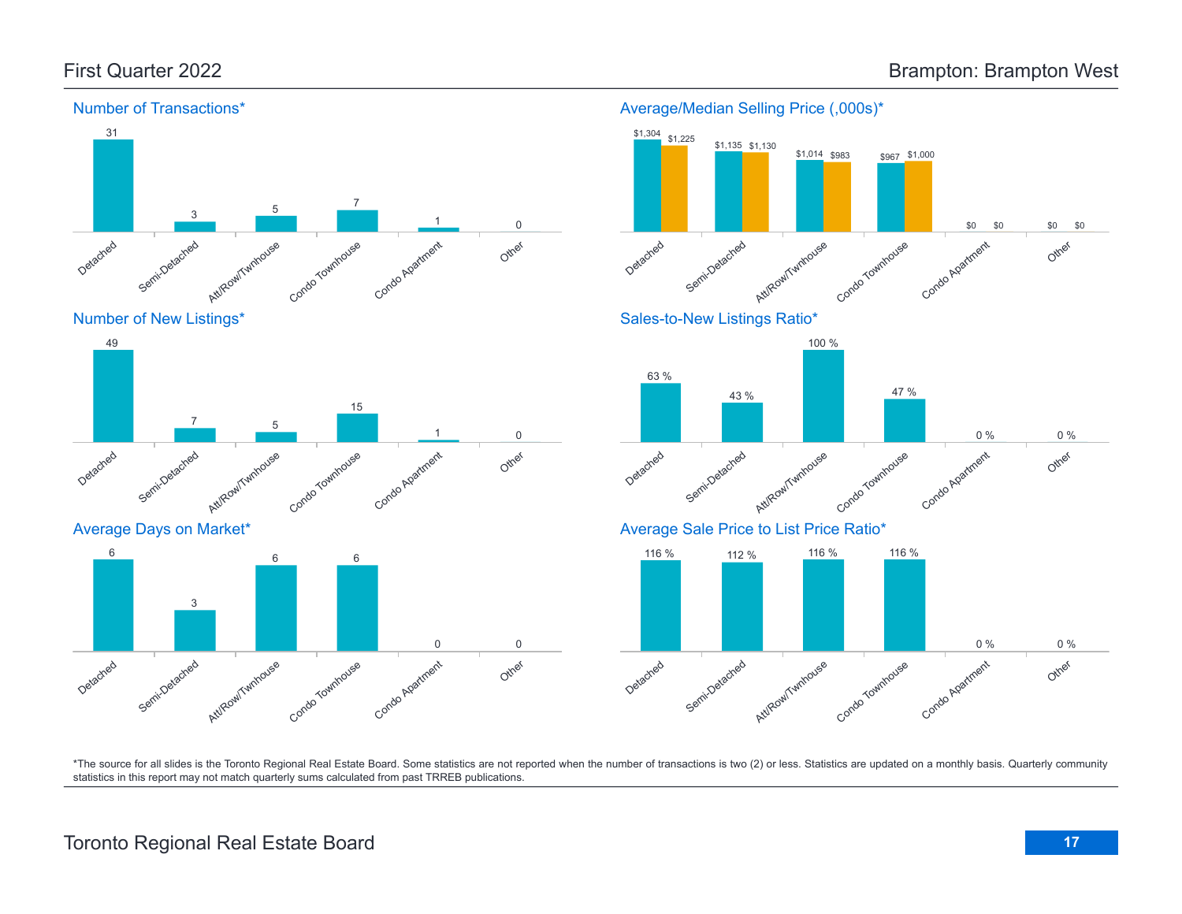





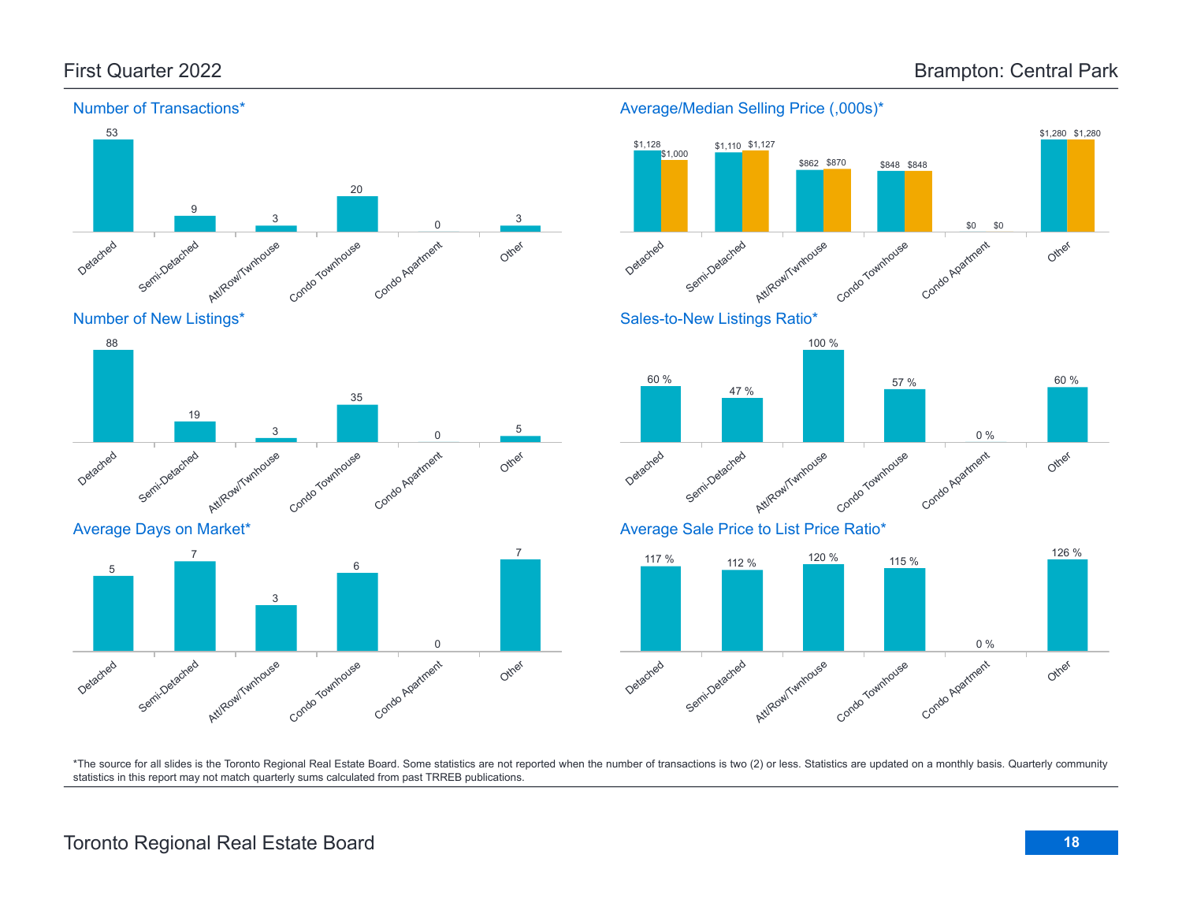

Number of New Listings\*



Average Days on Market\*



### Average/Median Selling Price (,000s)\*





Average Sale Price to List Price Ratio\*

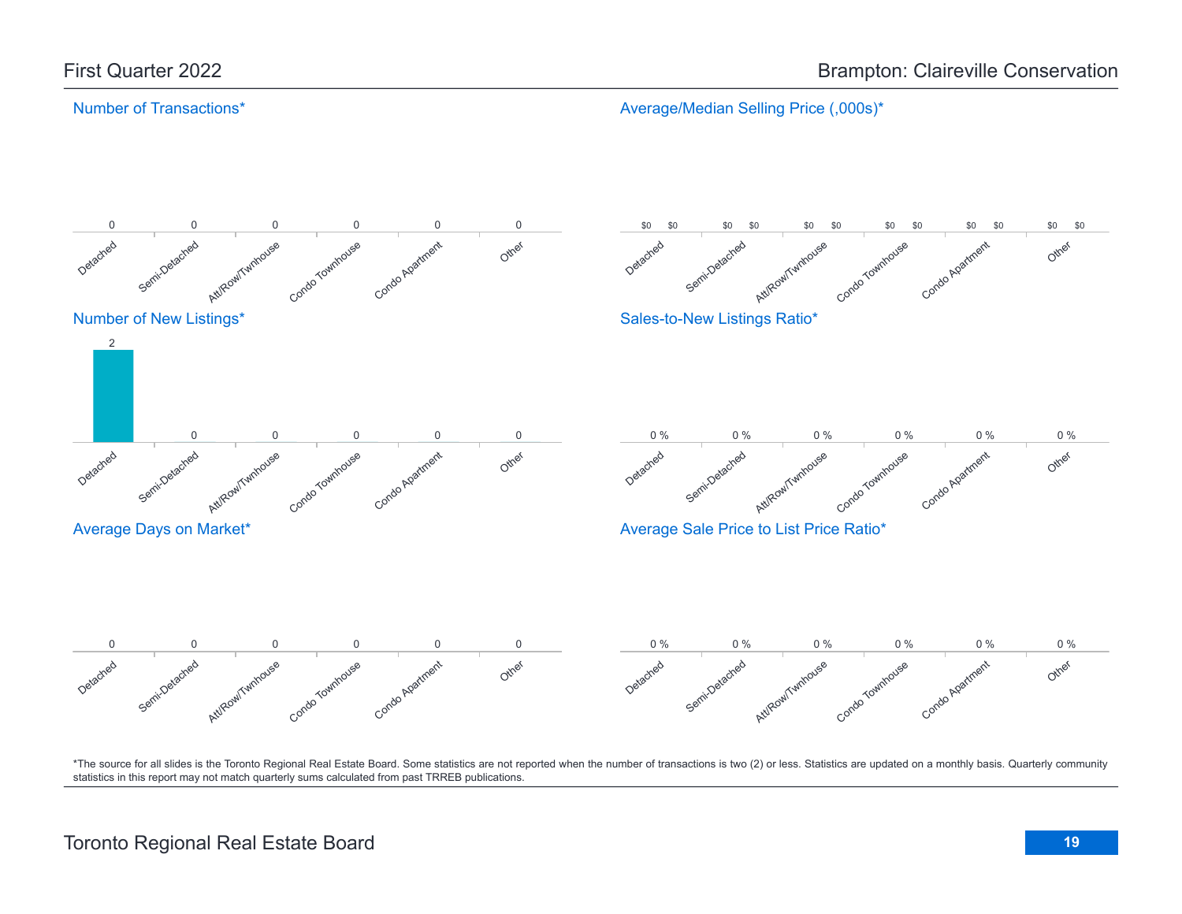Average/Median Selling Price (,000s)\*

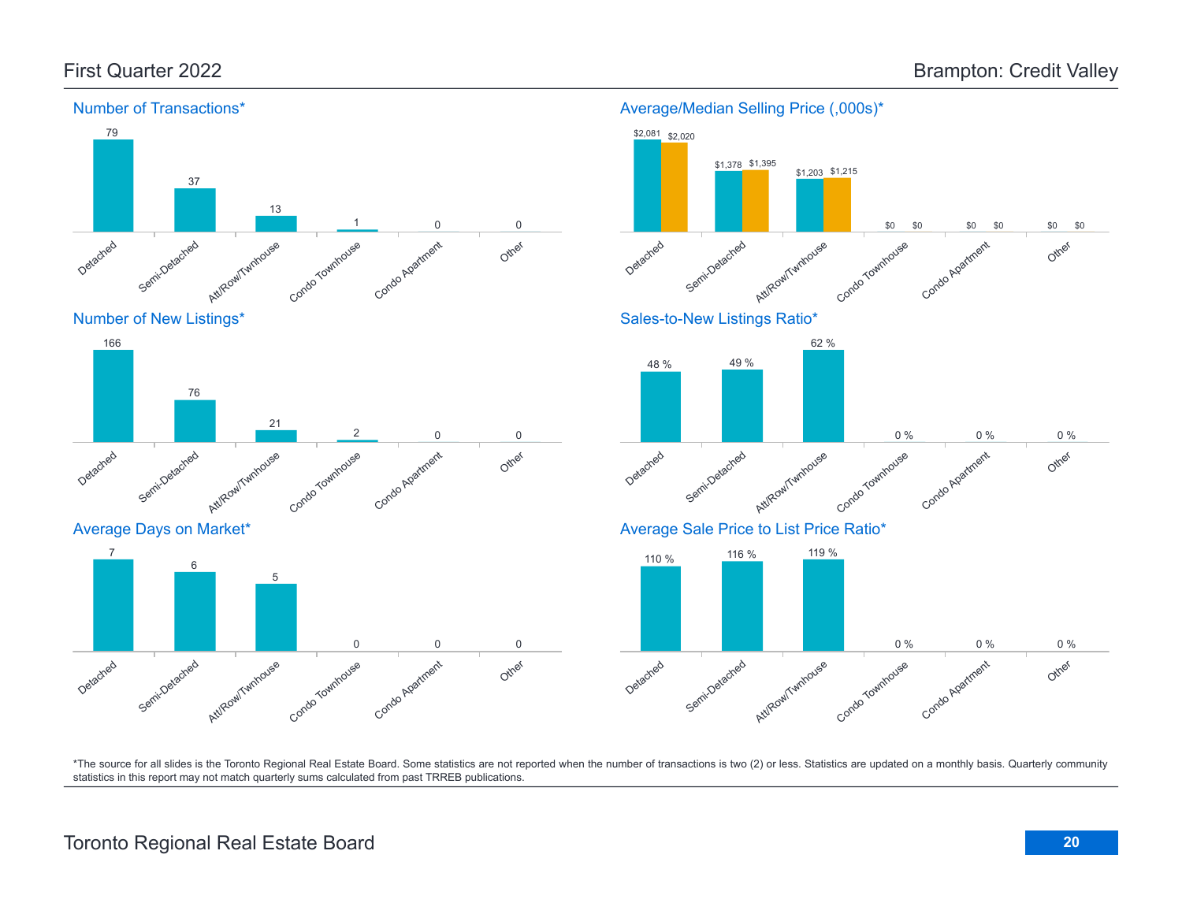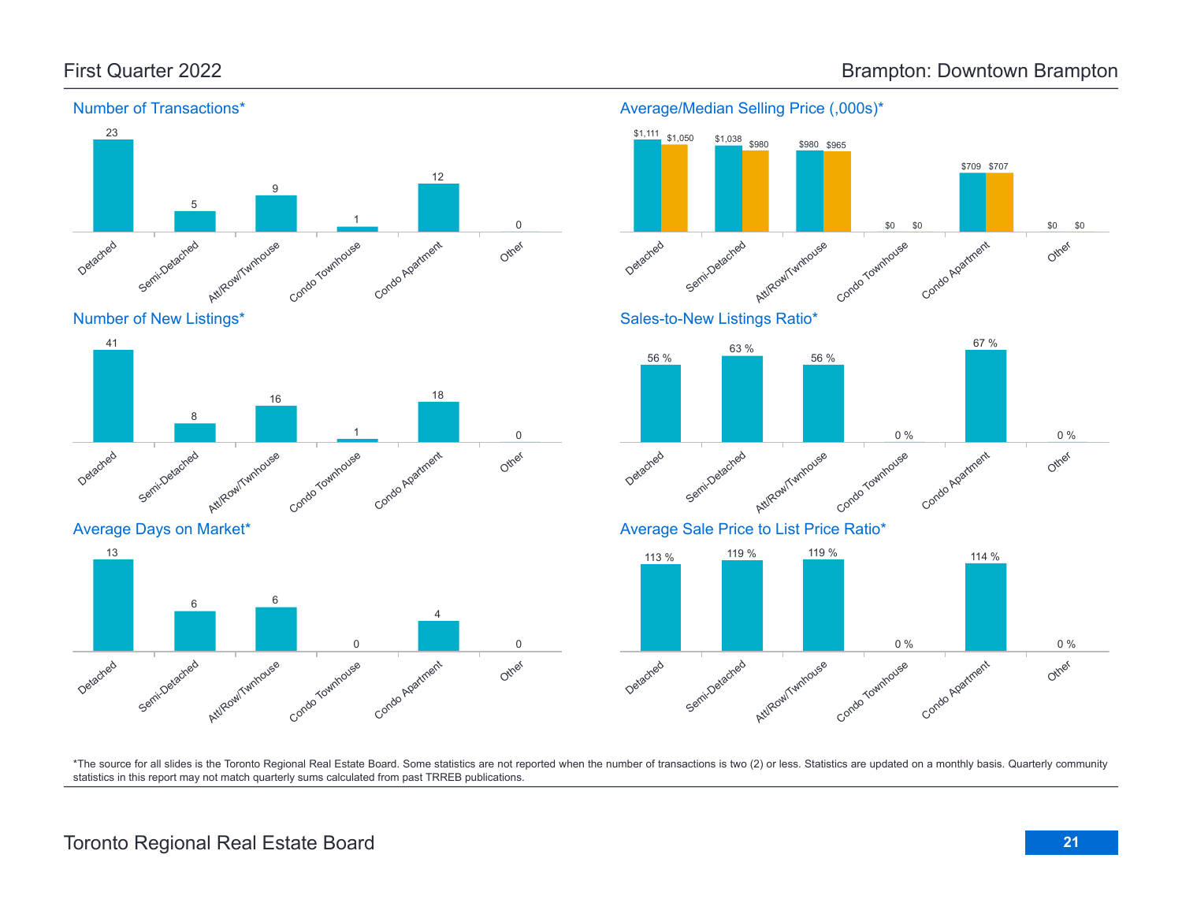







Average Days on Market\*

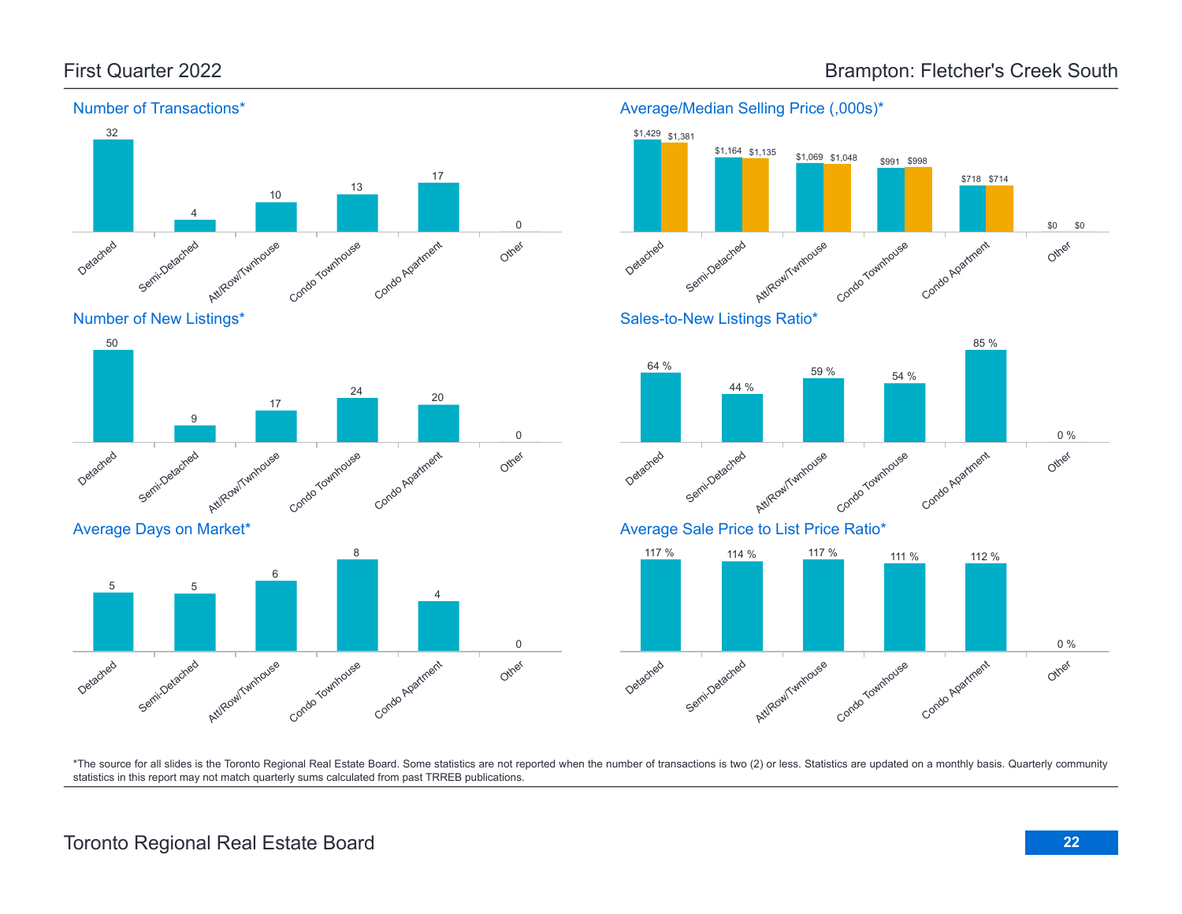\$0 \$0



Number of New Listings\*



Average Days on Market\*







Average Sale Price to List Price Ratio\*

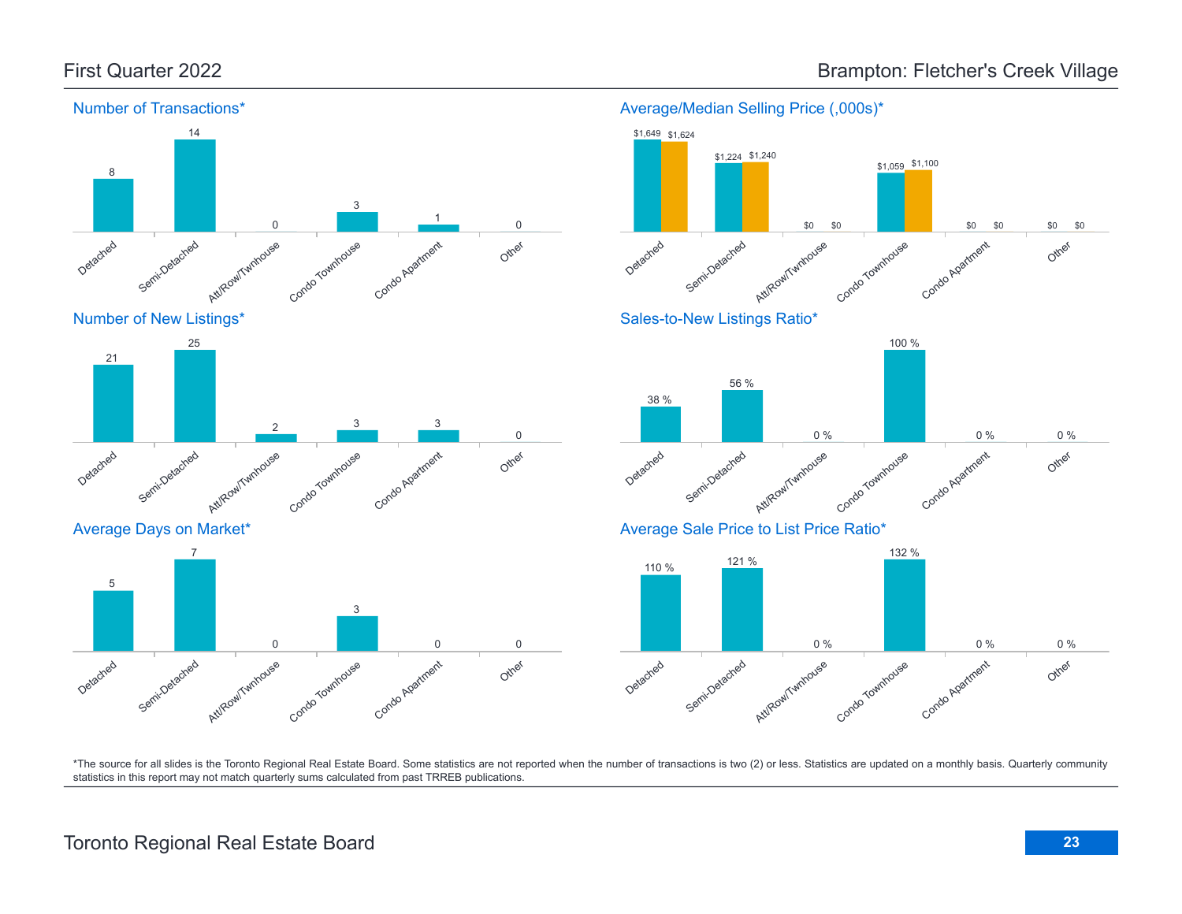





# First Quarter 2022 **Brampton: Fletcher's Creek Village**

# Toronto Regional Real Estate Board **23**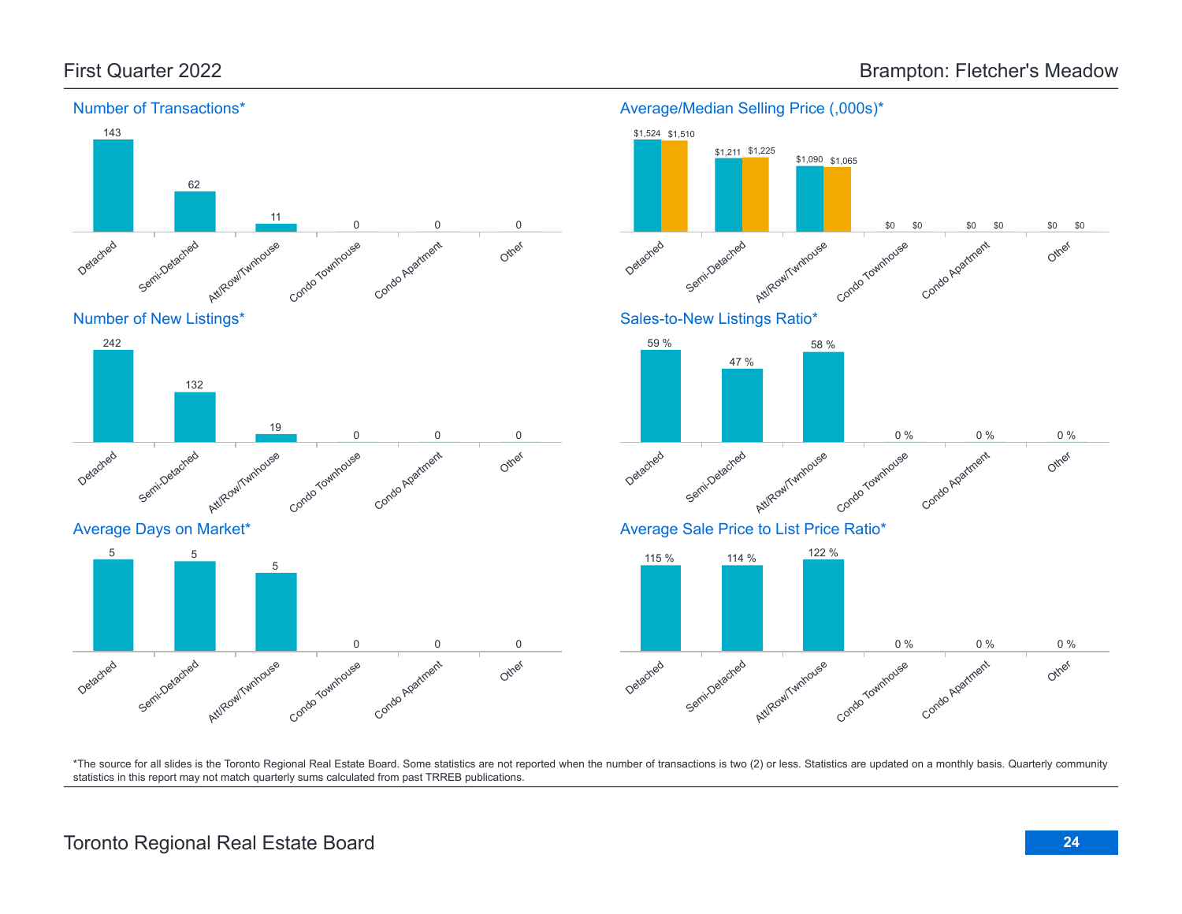

Average/Median Selling Price (,000s)\*



\*The source for all slides is the Toronto Regional Real Estate Board. Some statistics are not reported when the number of transactions is two (2) or less. Statistics are updated on a monthly basis. Quarterly community statistics in this report may not match quarterly sums calculated from past TRREB publications.

Other

Att/Row/Twnhouse

5

Condo Townhouse

Condo Apartment

0 0 0

Detached

Semi-Detached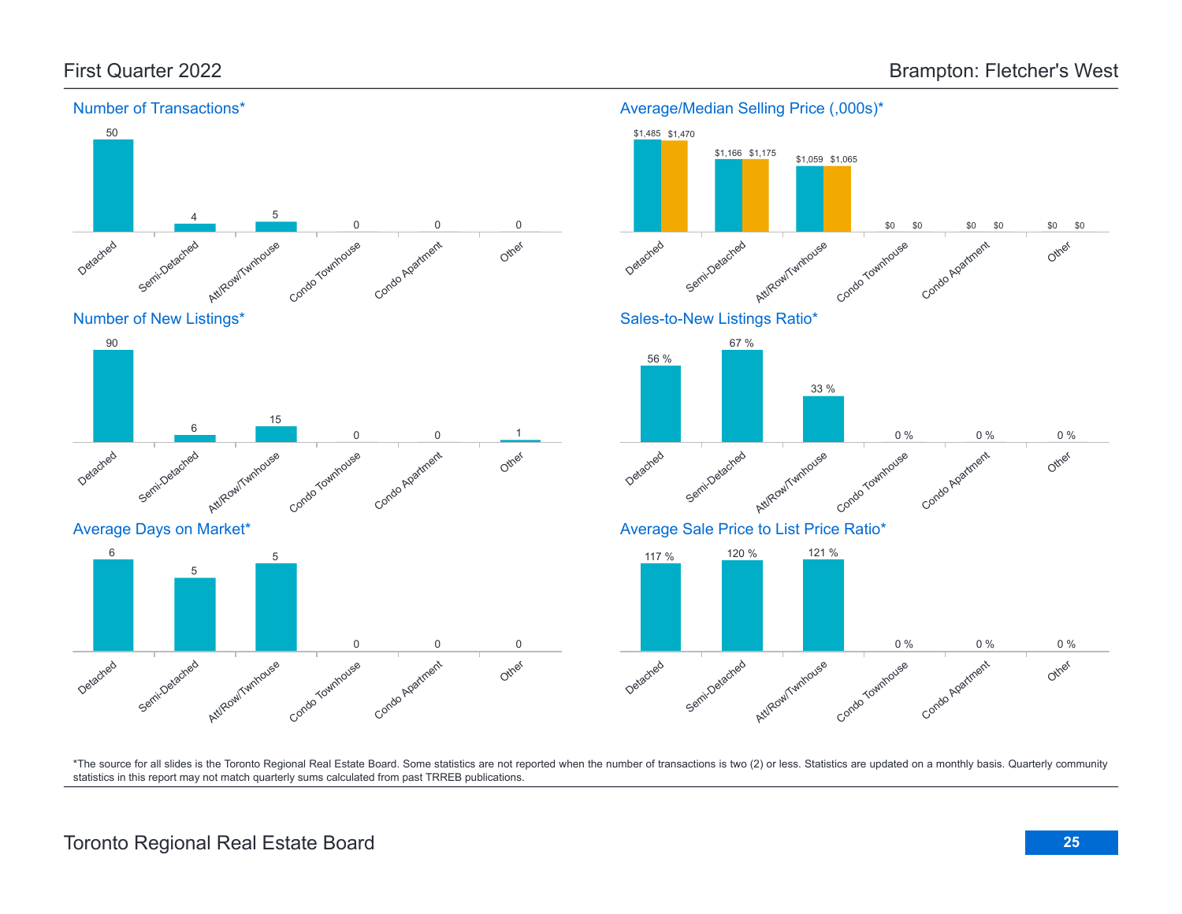

#### Average/Median Selling Price (,000s)\*

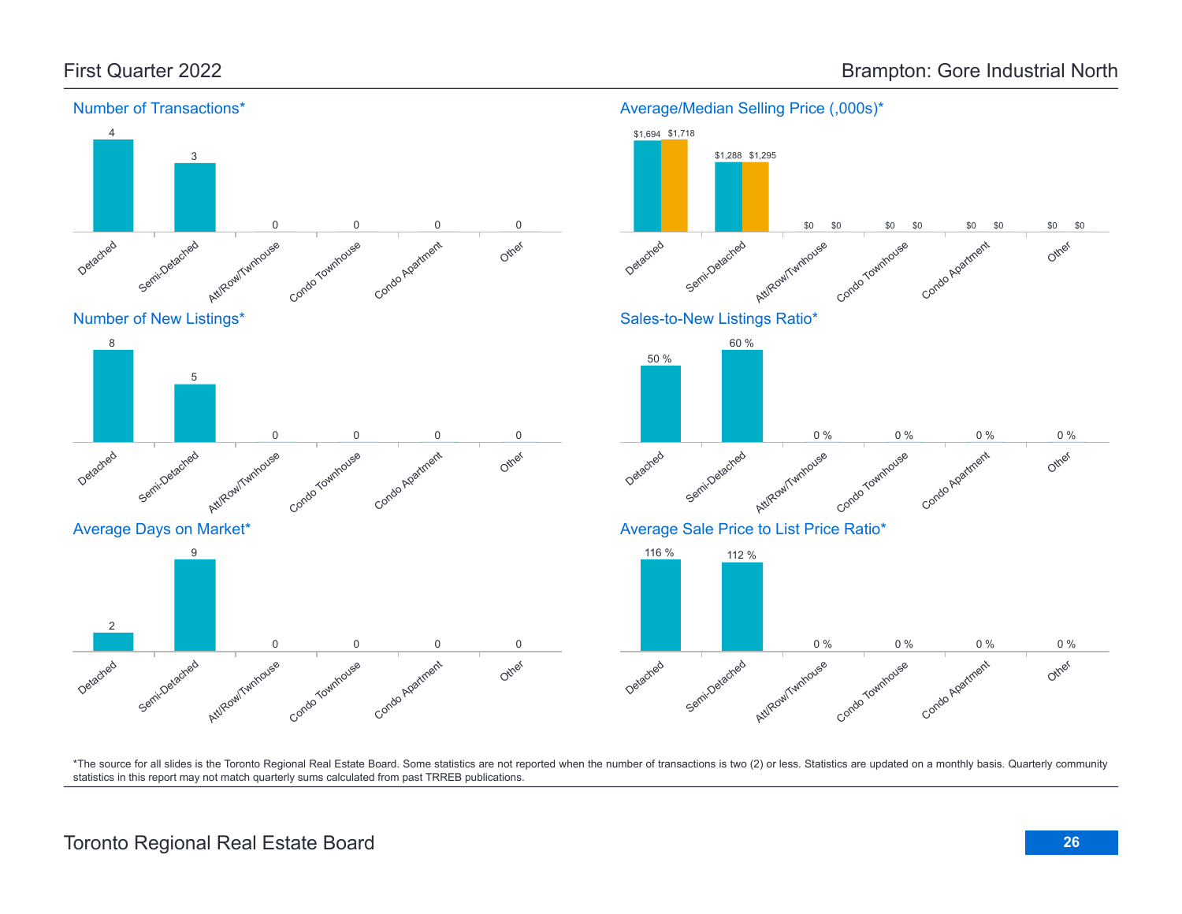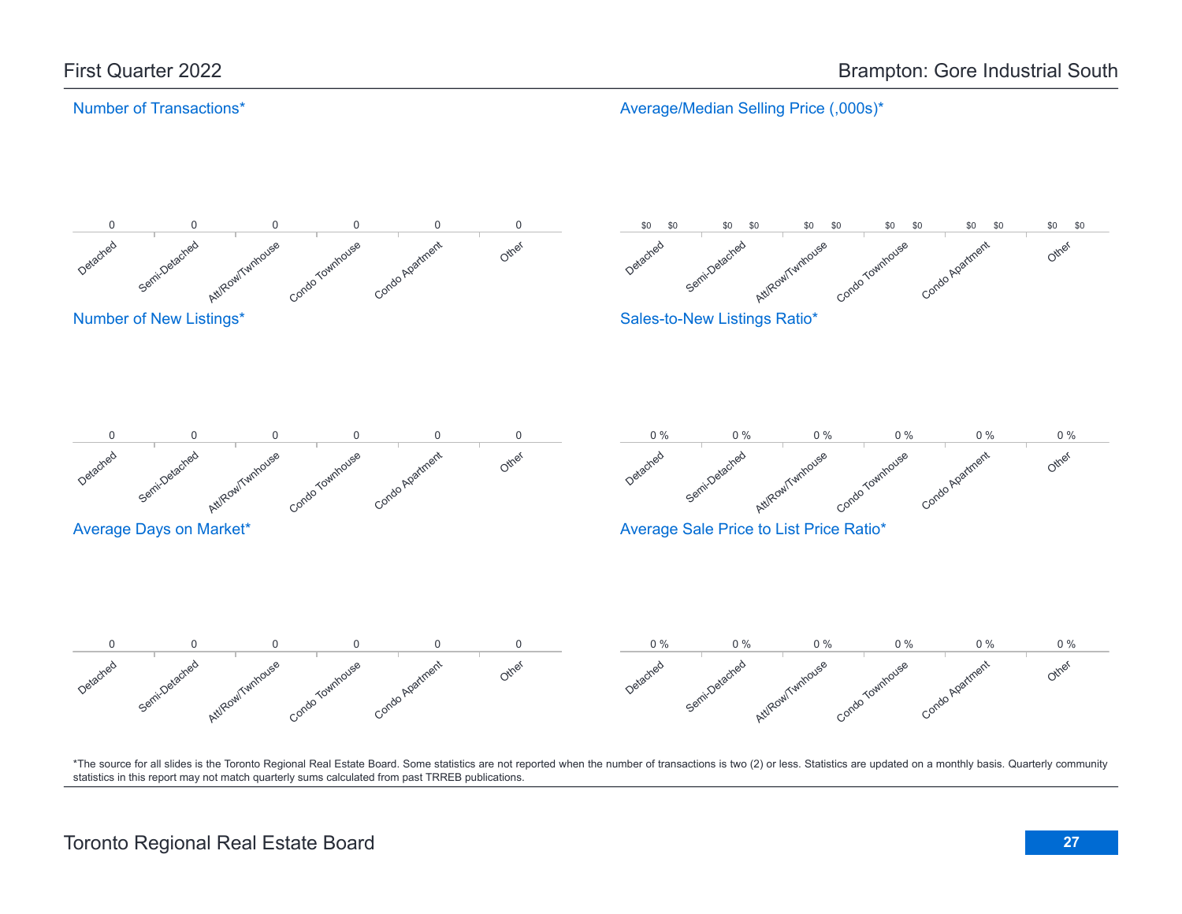Average/Median Selling Price (,000s)\*

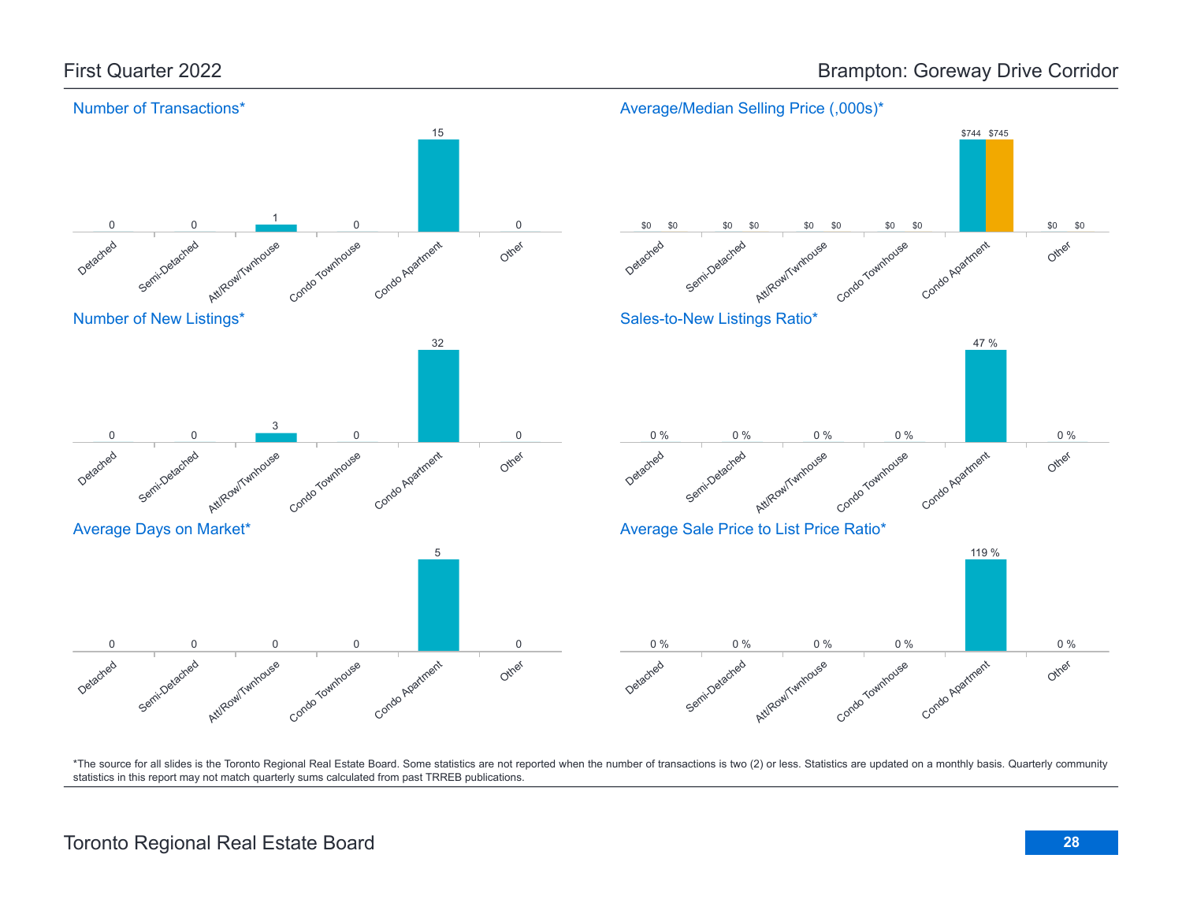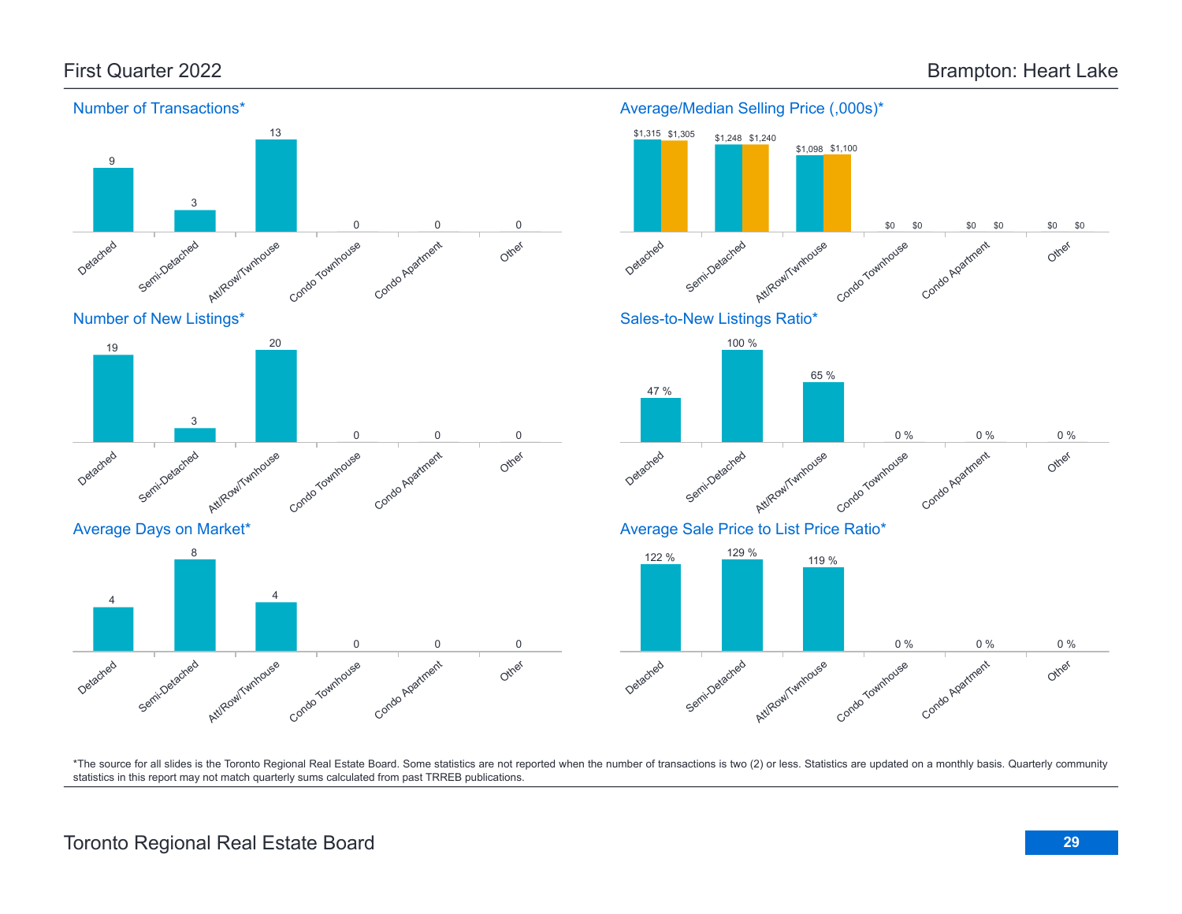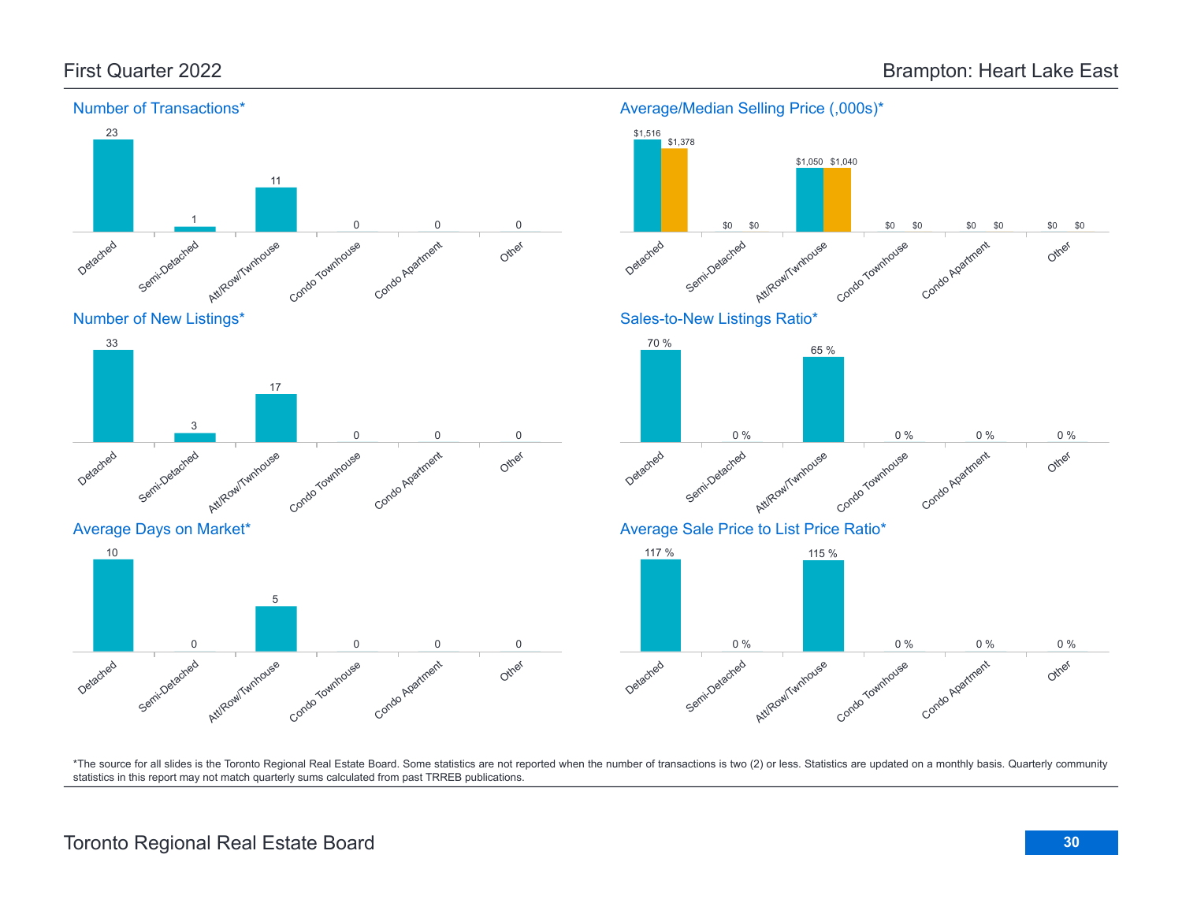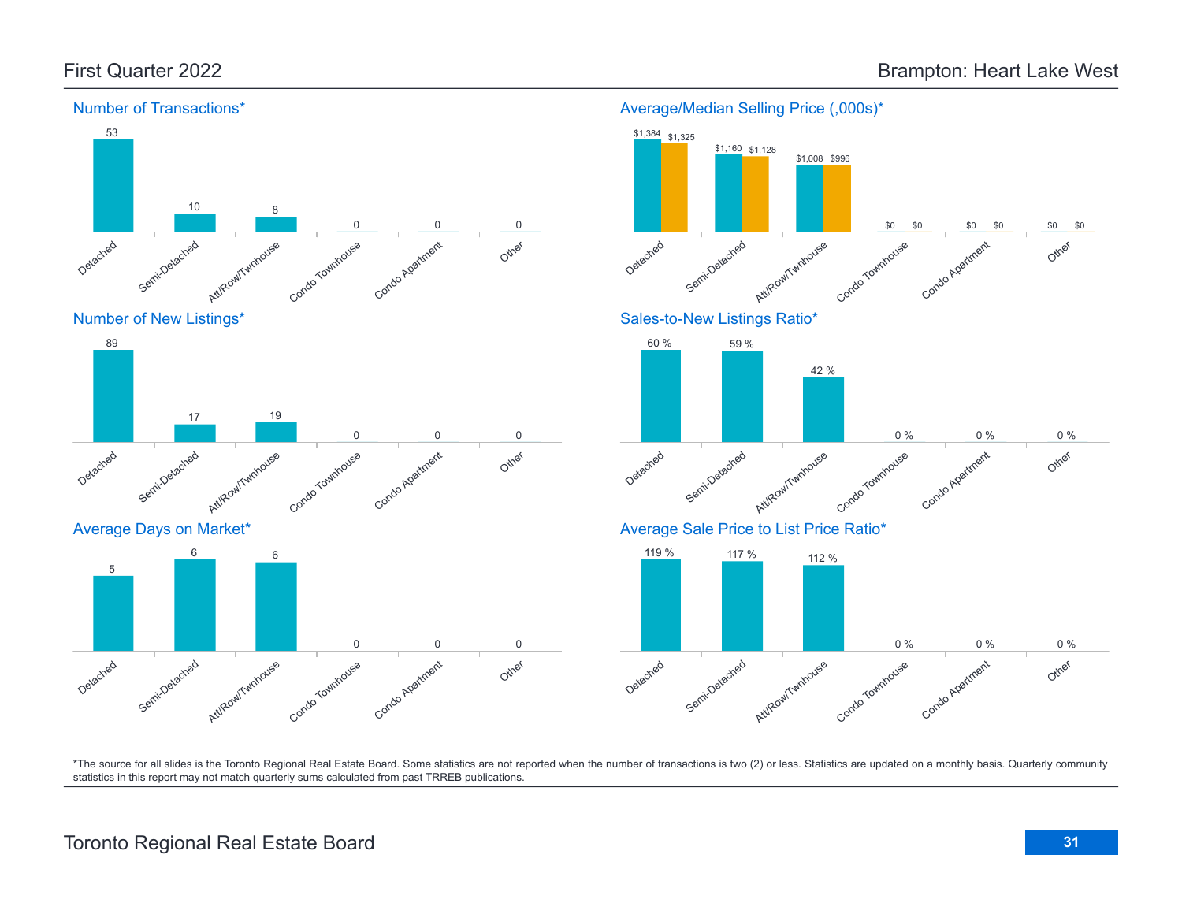

Average/Median Selling Price (,000s)\*

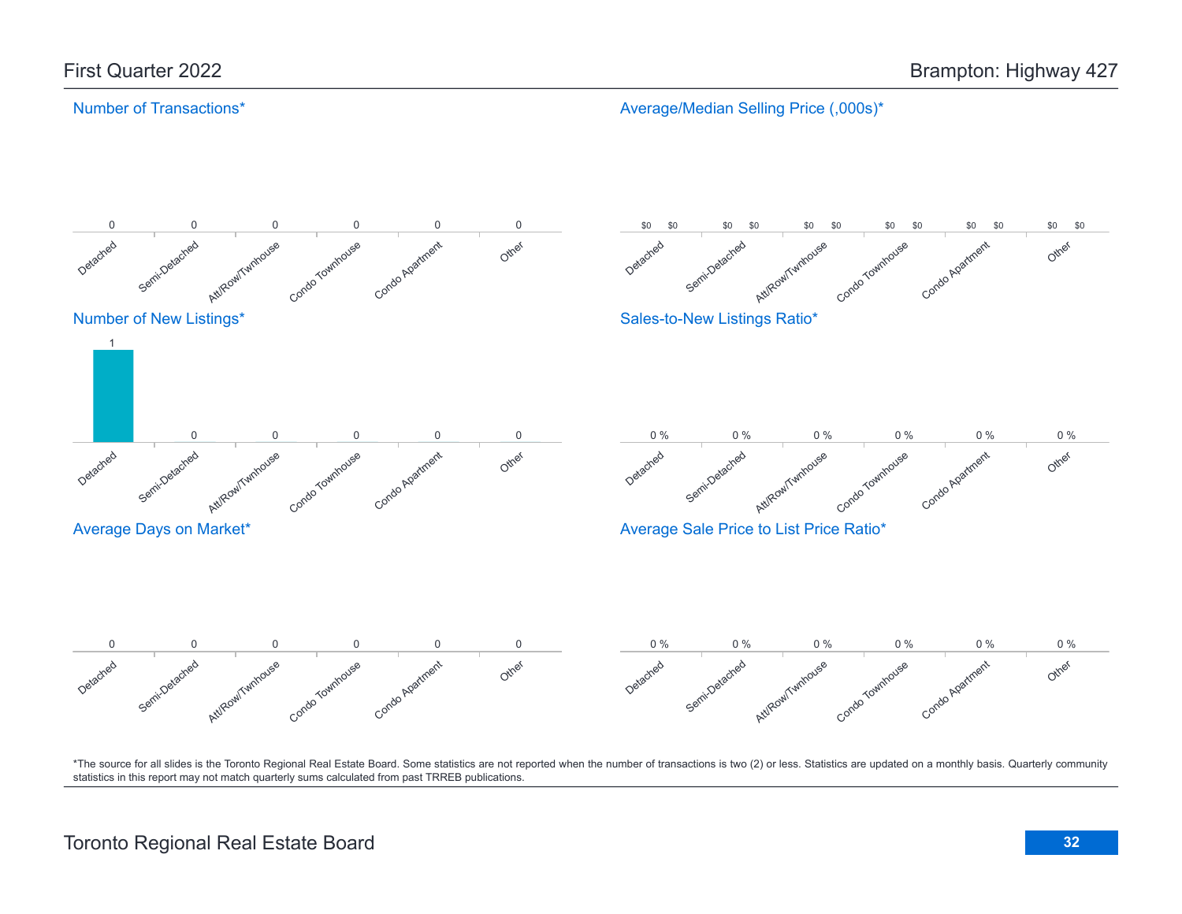Average/Median Selling Price (,000s)\*

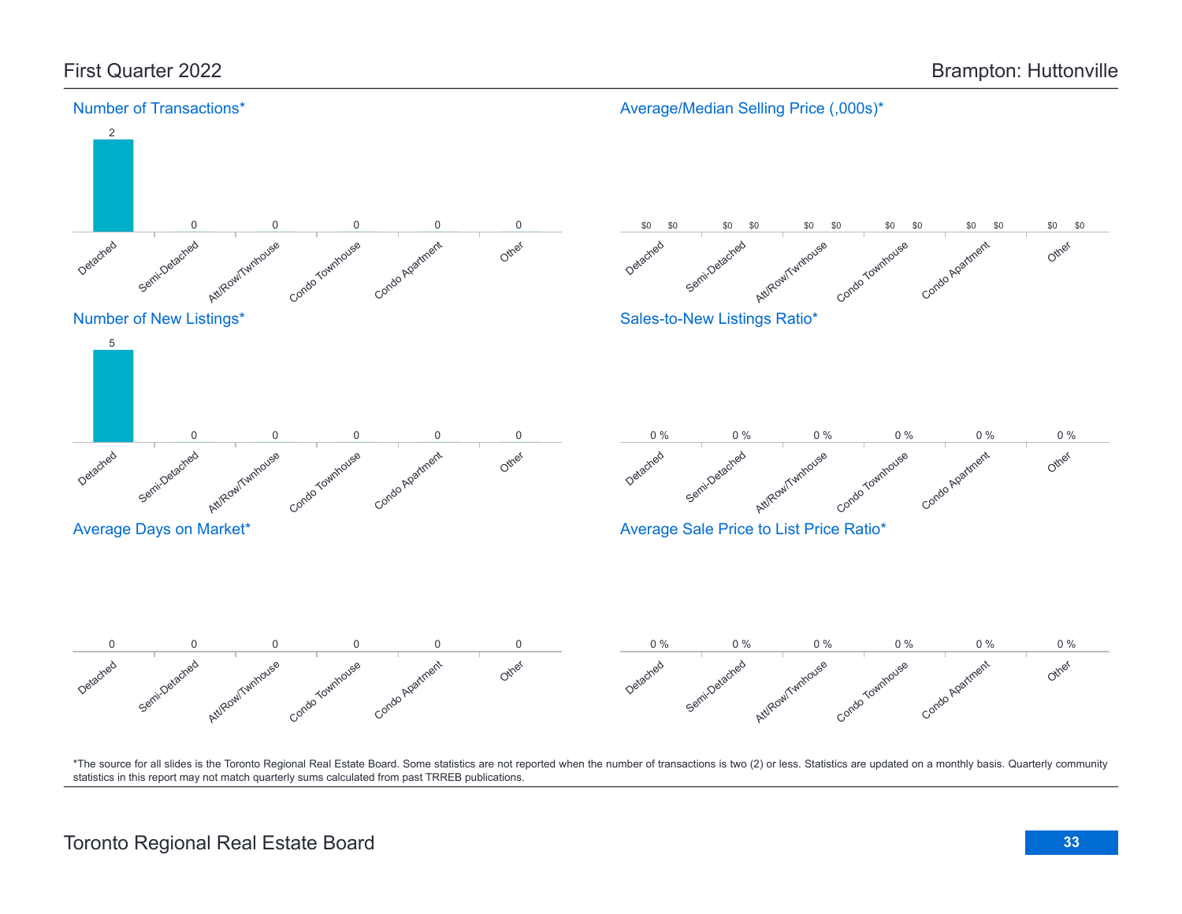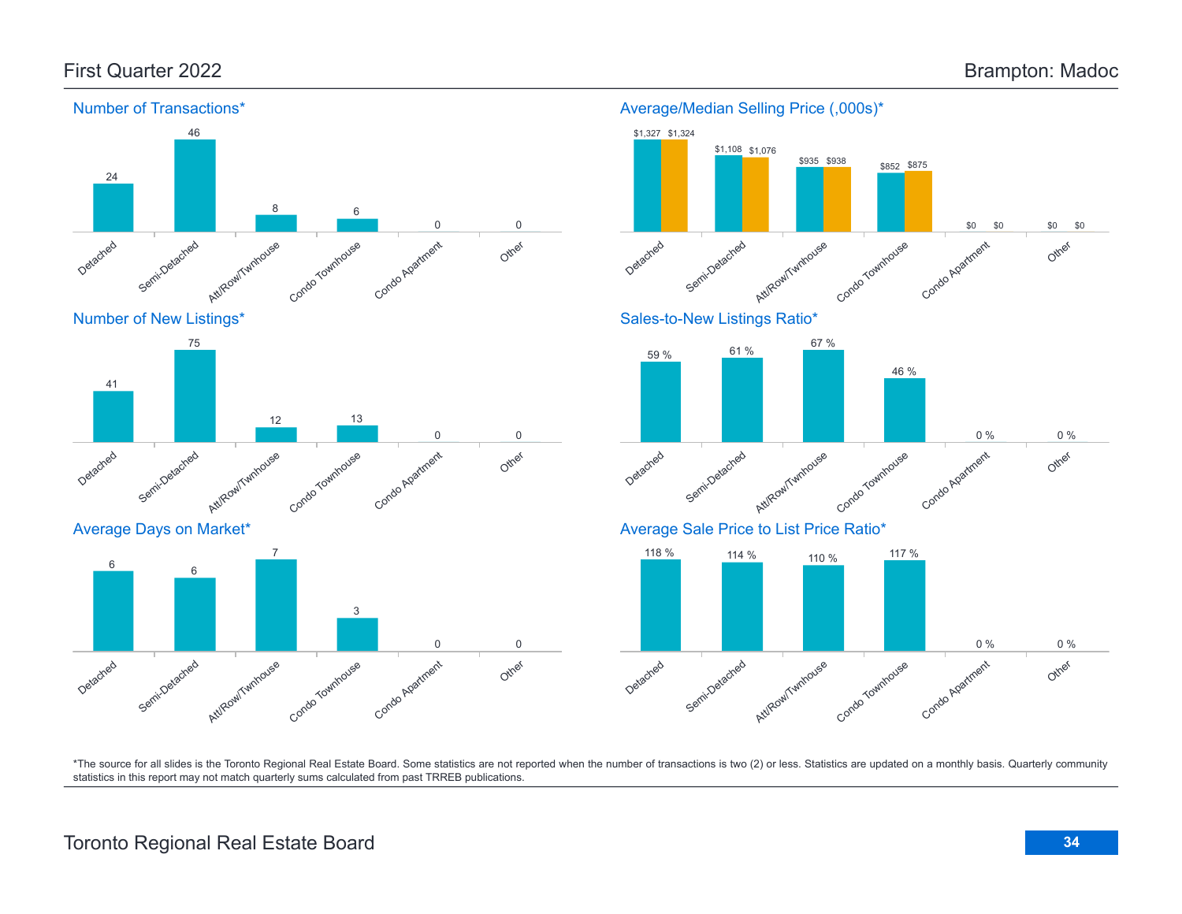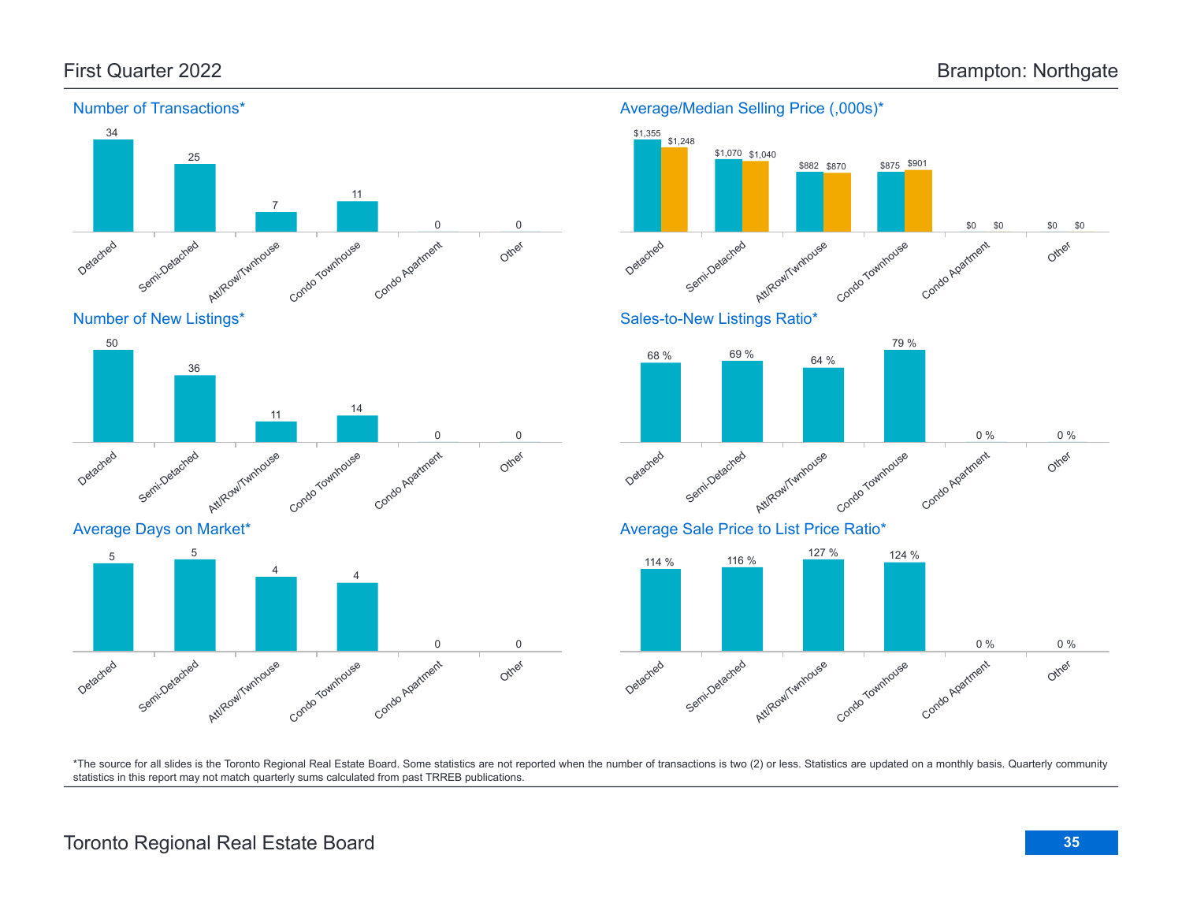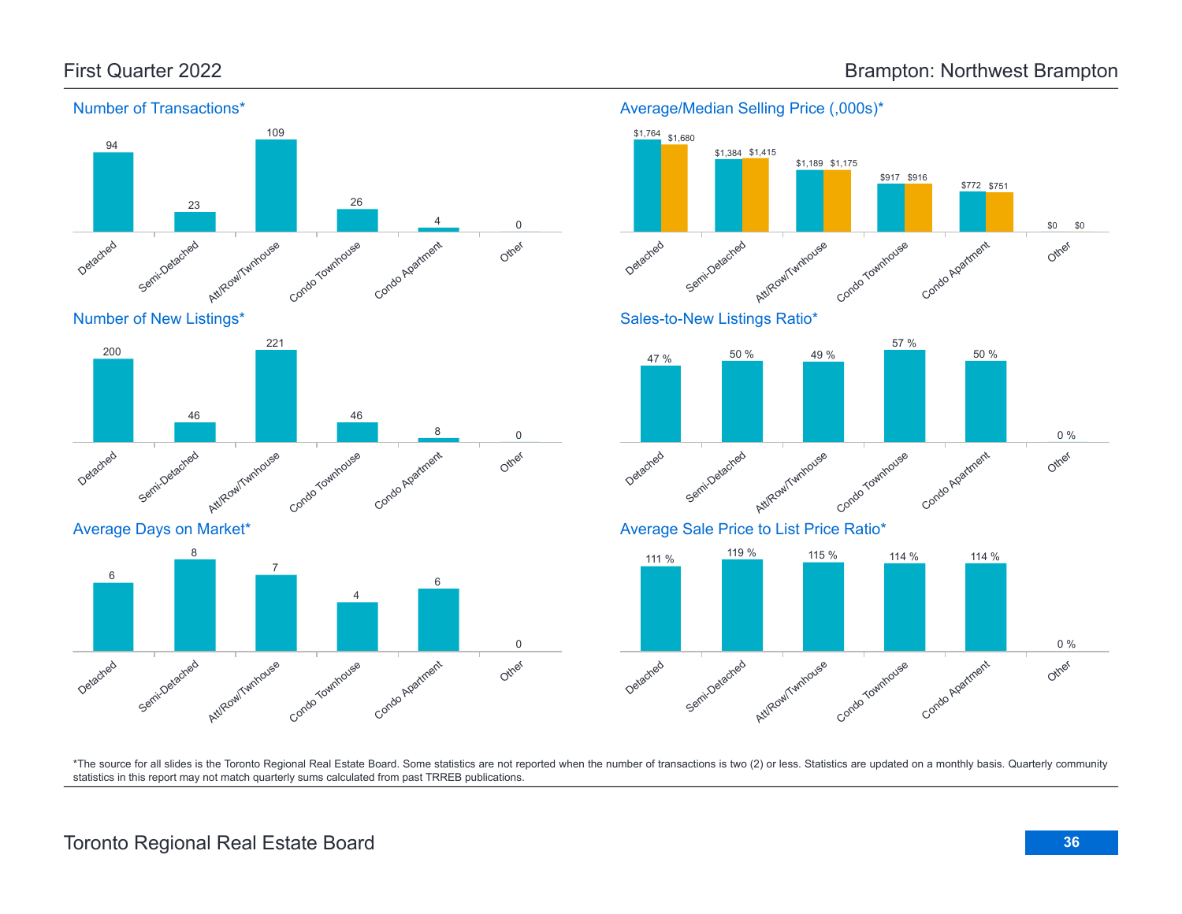

Number of New Listings\*



Average Days on Market\*





Average/Median Selling Price (,000s)\*



\*The source for all slides is the Toronto Regional Real Estate Board. Some statistics are not reported when the number of transactions is two (2) or less. Statistics are updated on a monthly basis. Quarterly community statistics in this report may not match quarterly sums calculated from past TRREB publications.

# Toronto Regional Real Estate Board **36**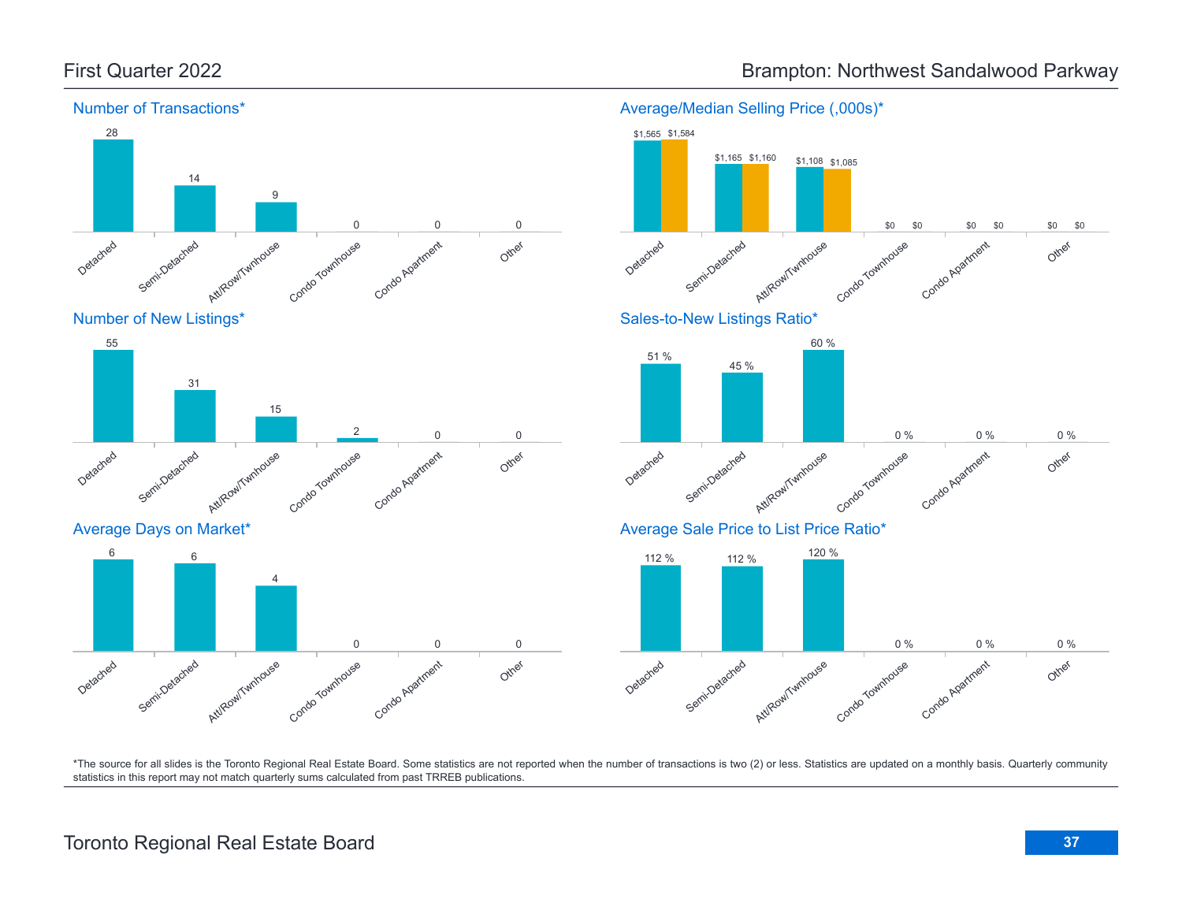

Average/Median Selling Price (,000s)\*

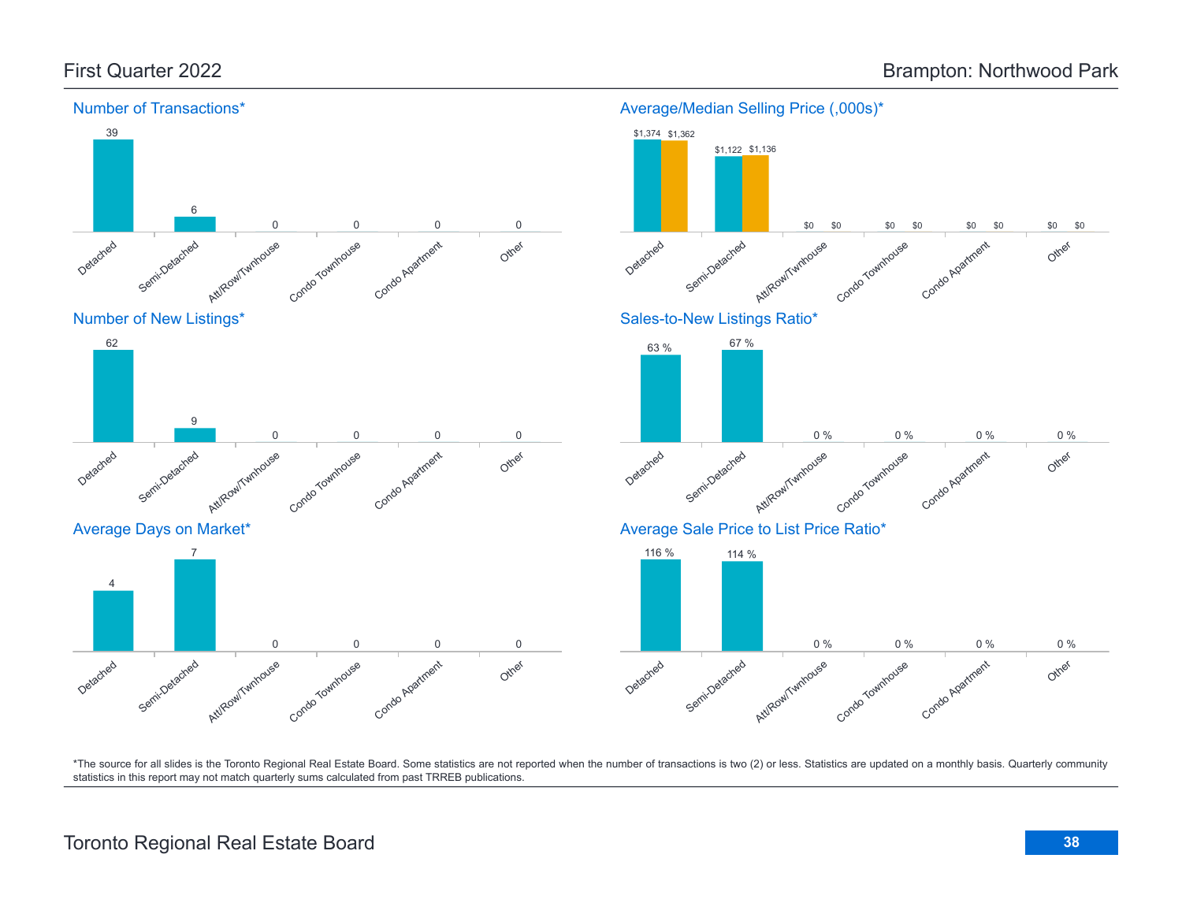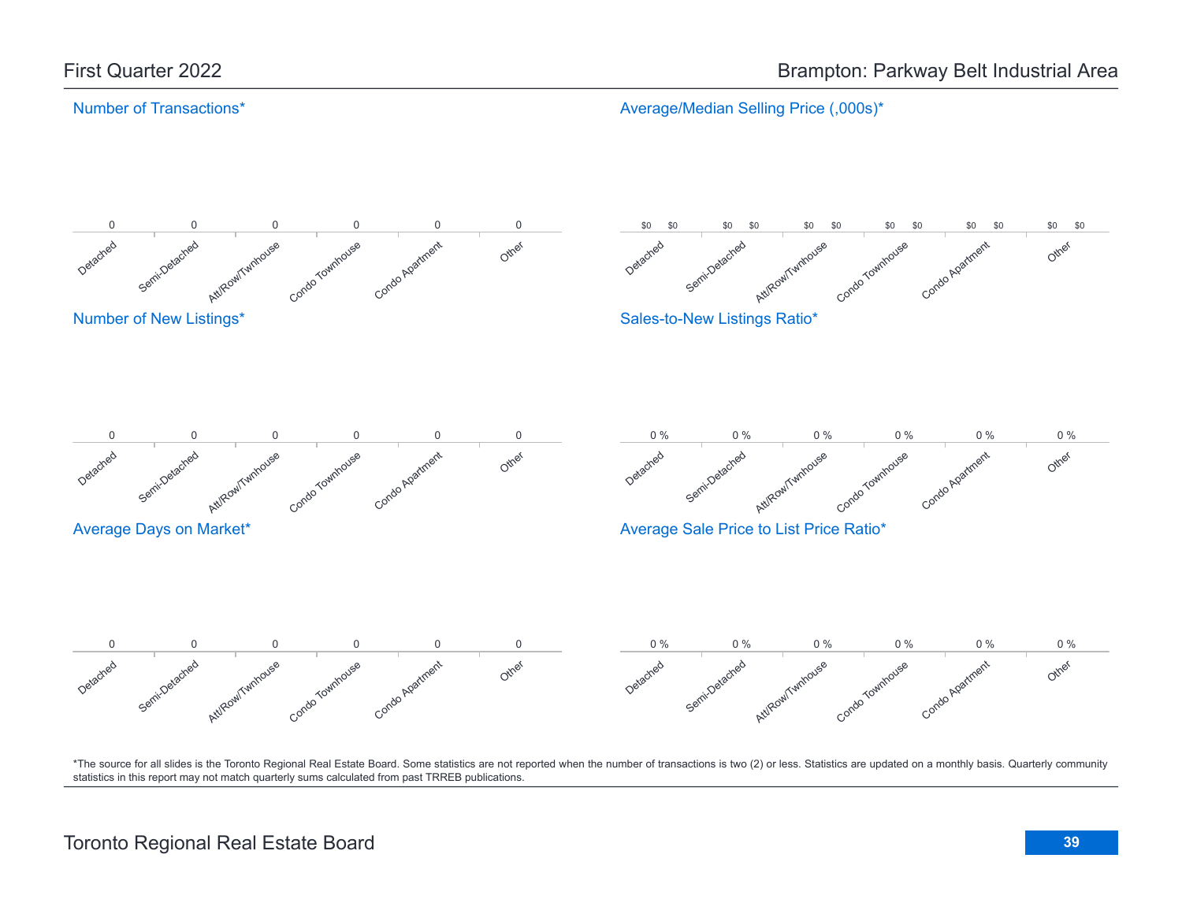Average/Median Selling Price (,000s)\*

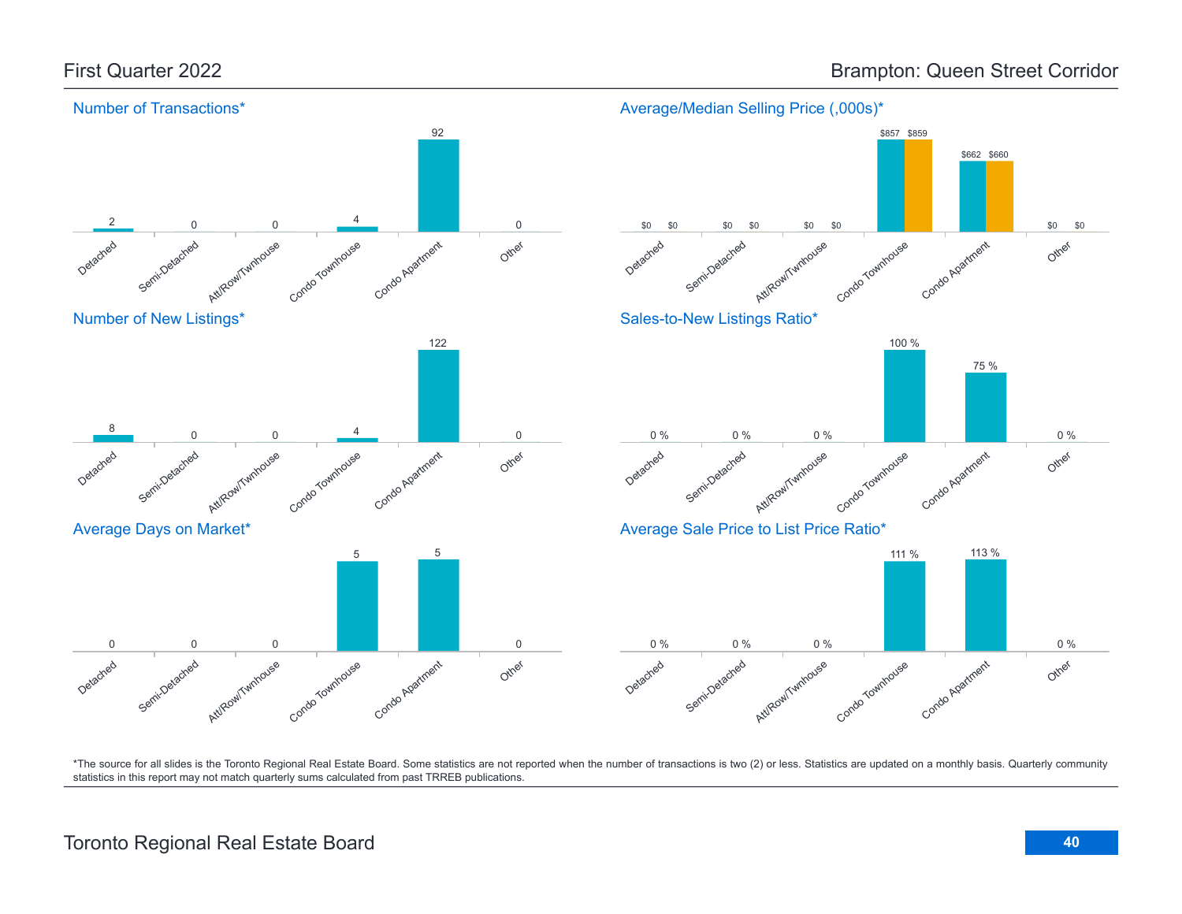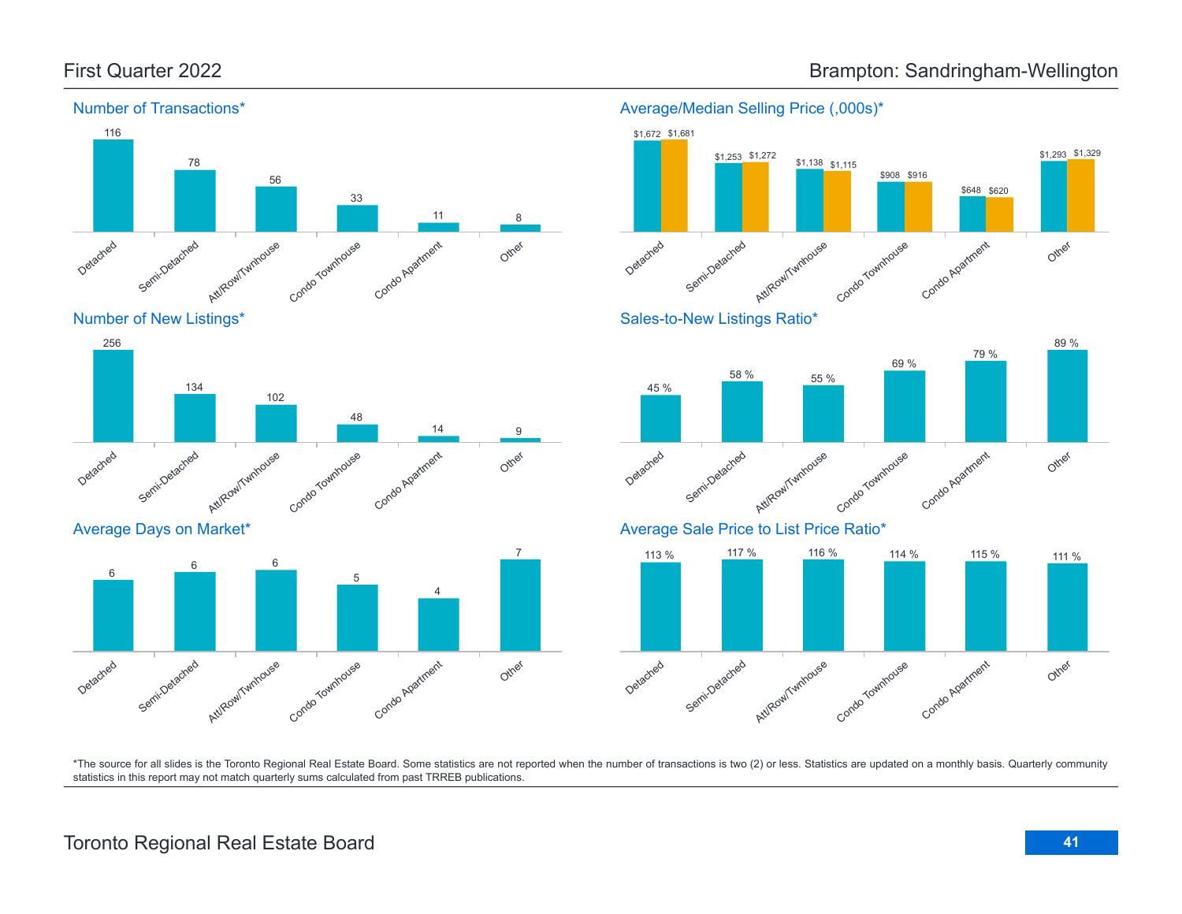

Number of New Listings\*



Average Days on Market\*





Condo Townhouse

Condo Agatment

Average/Median Selling Price (,000s)\*



Detached

Semi-Detached

Att/Row/Twnhouse

# First Quarter 2022 **Brampton: Sandringham-Wellington**

\$1,672 \$1,681

Other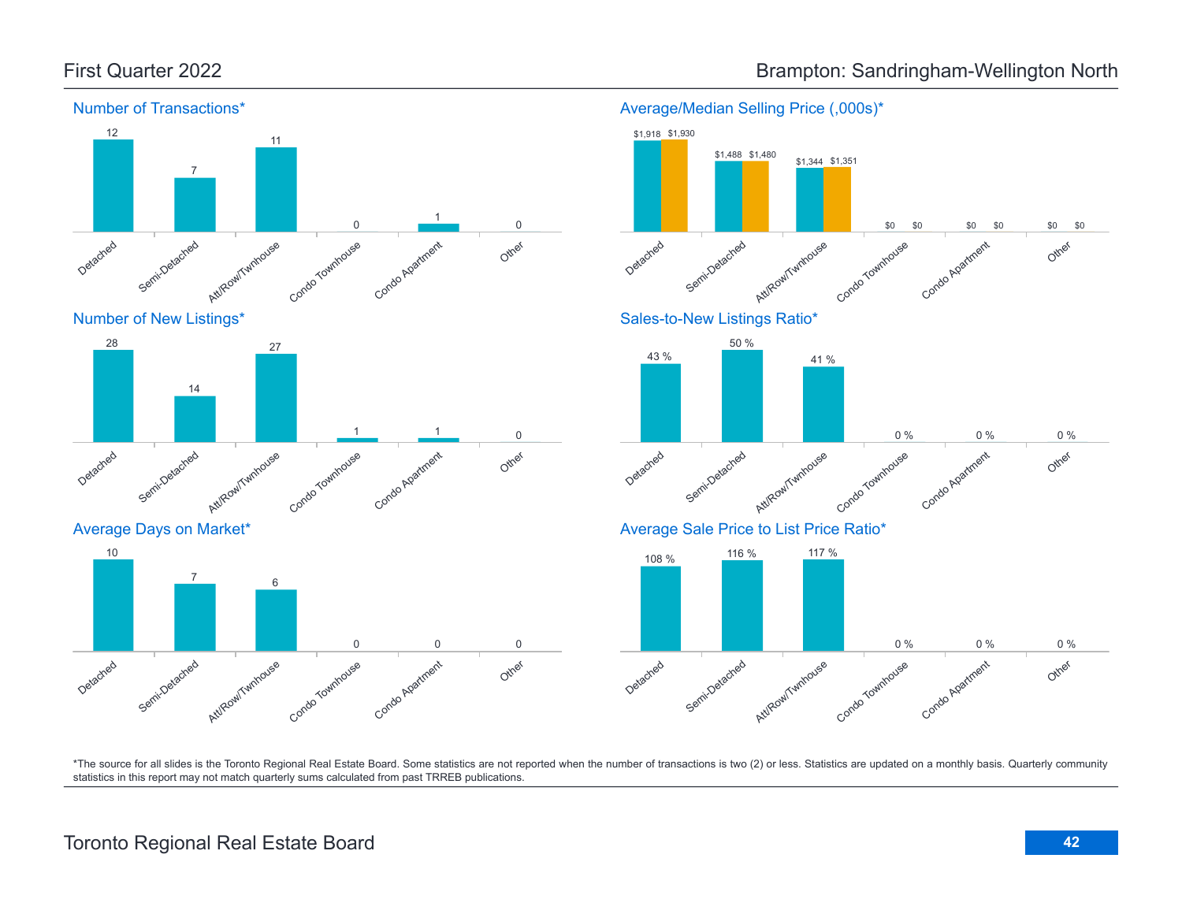

First Quarter 2022 **Brampton: Sandringham-Wellington North** 

\*The source for all slides is the Toronto Regional Real Estate Board. Some statistics are not reported when the number of transactions is two (2) or less. Statistics are updated on a monthly basis. Quarterly community statistics in this report may not match quarterly sums calculated from past TRREB publications.

Other

Other

Other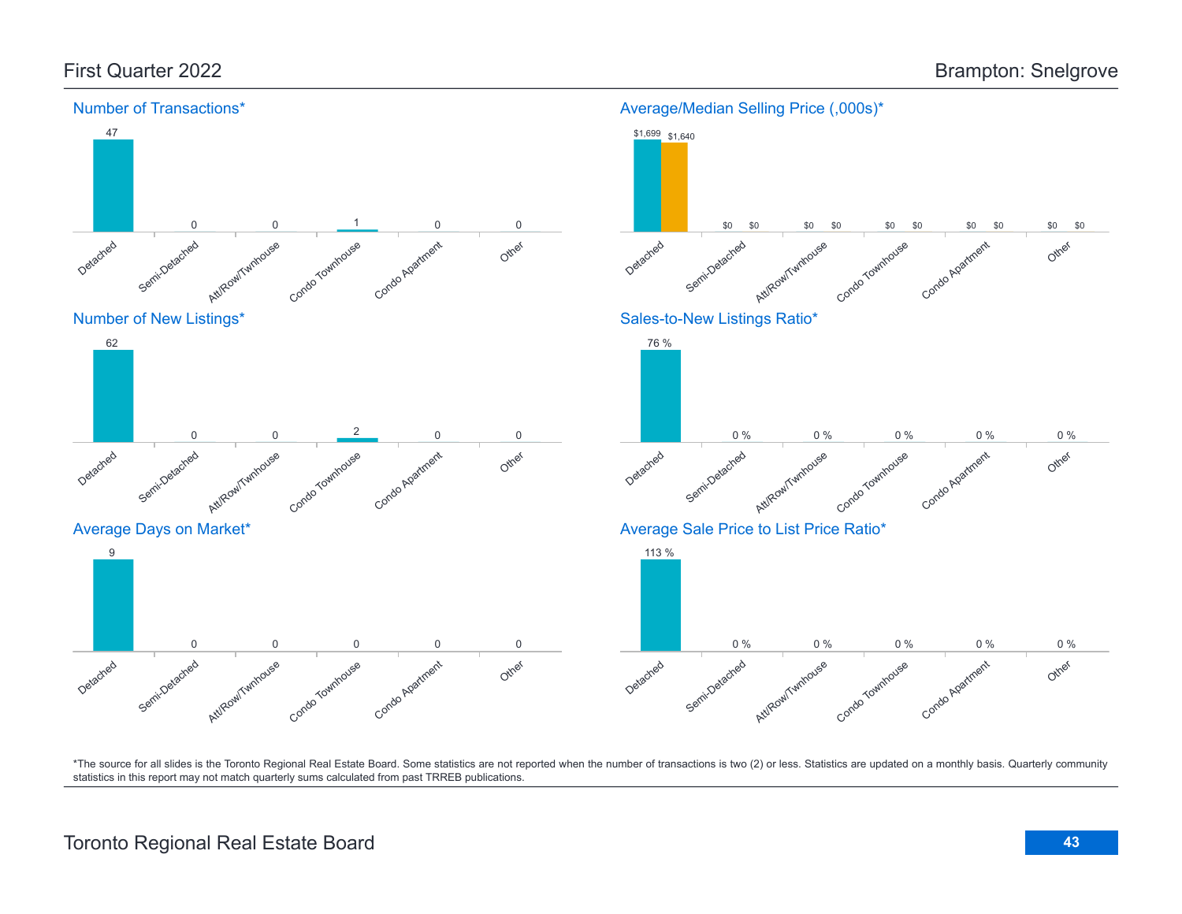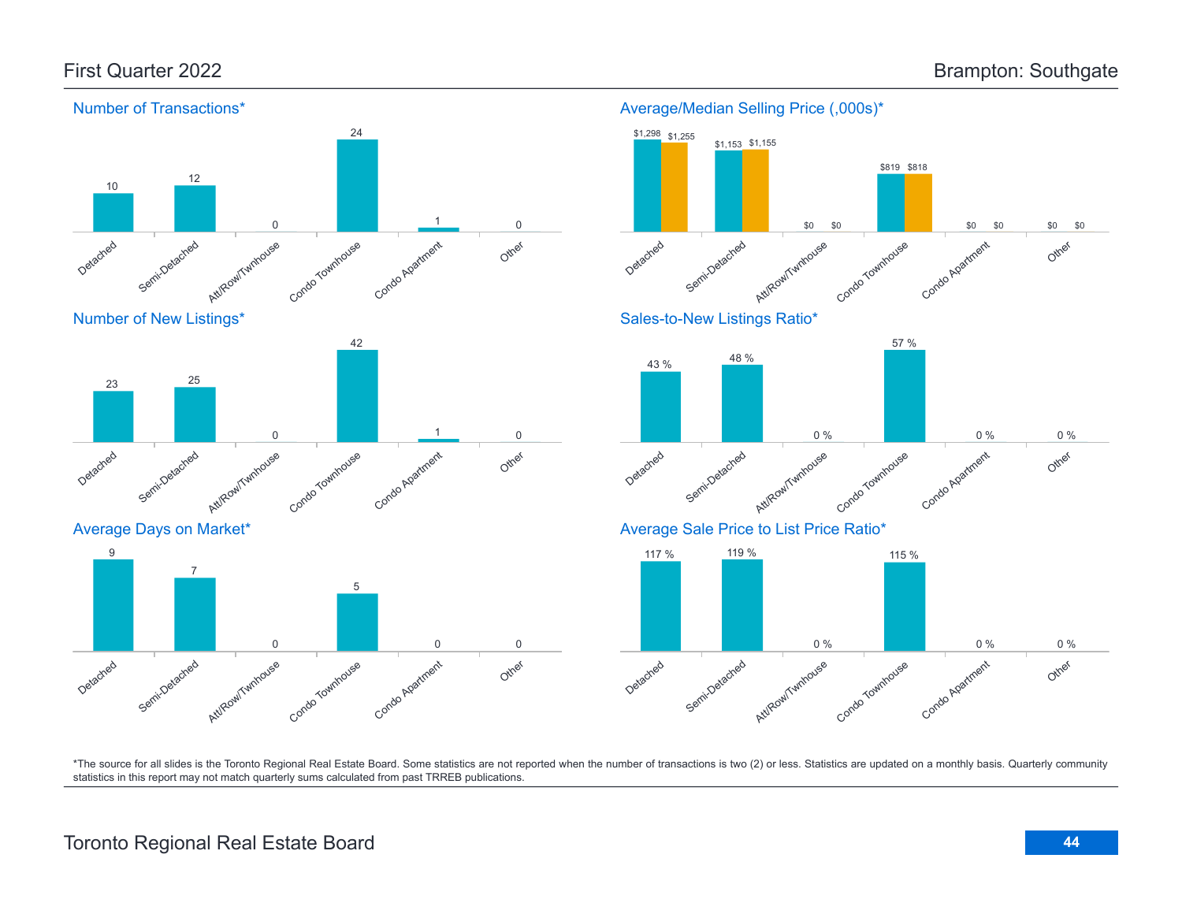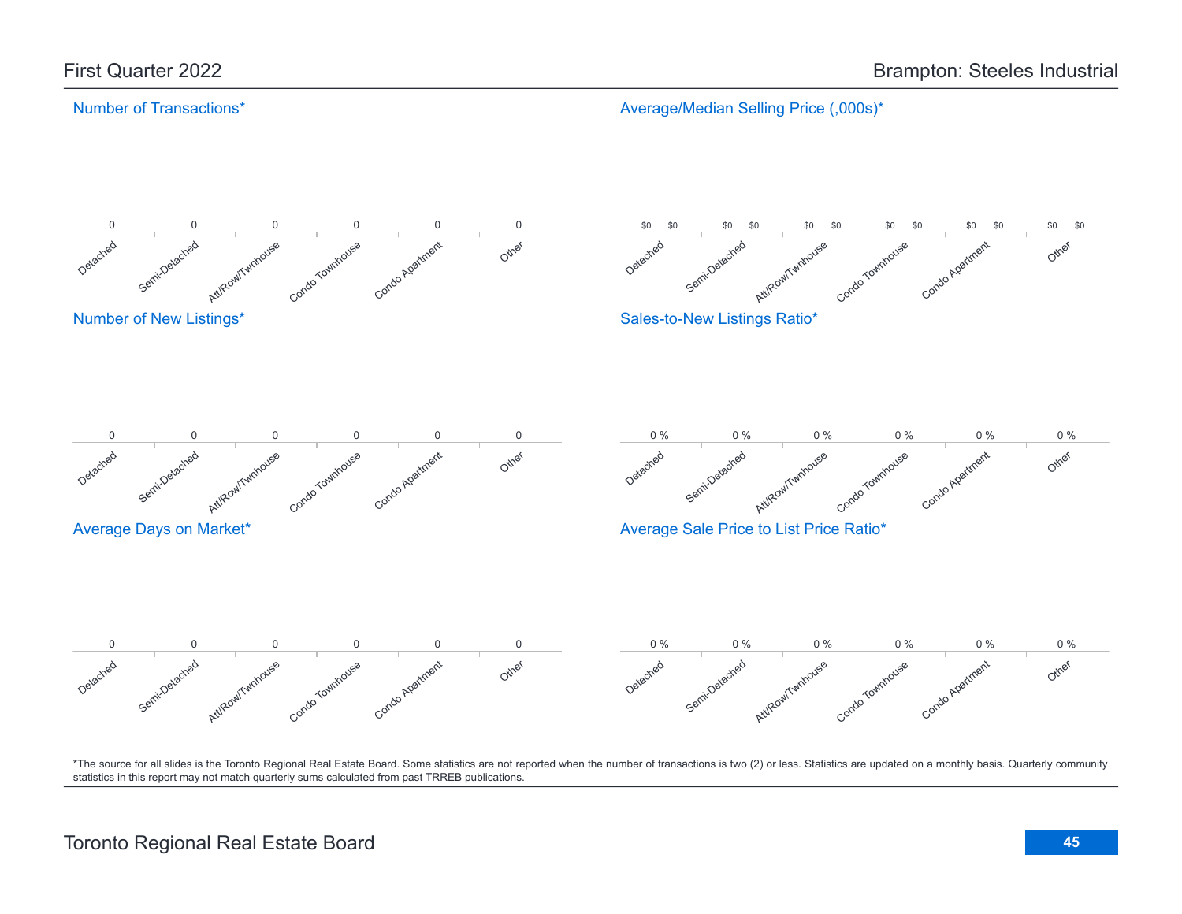Average/Median Selling Price (,000s)\*

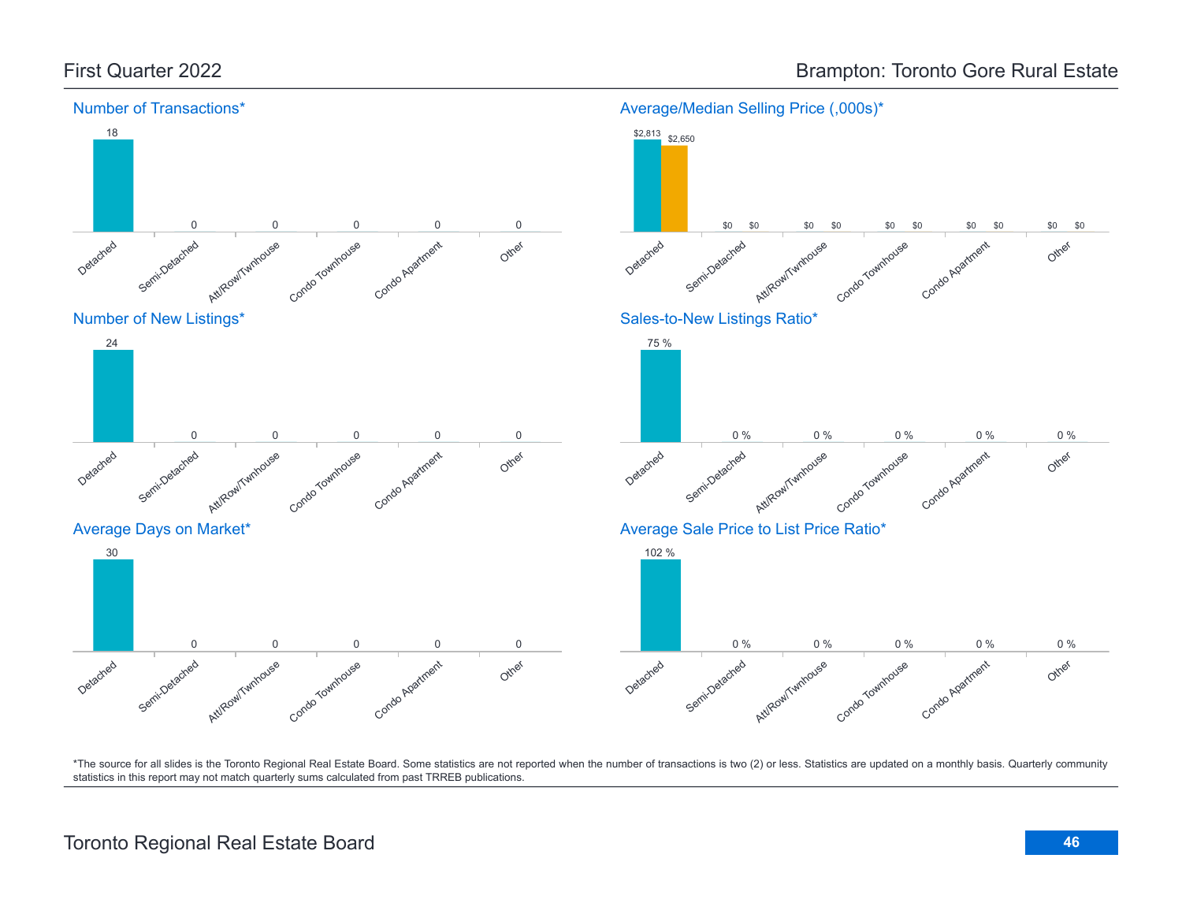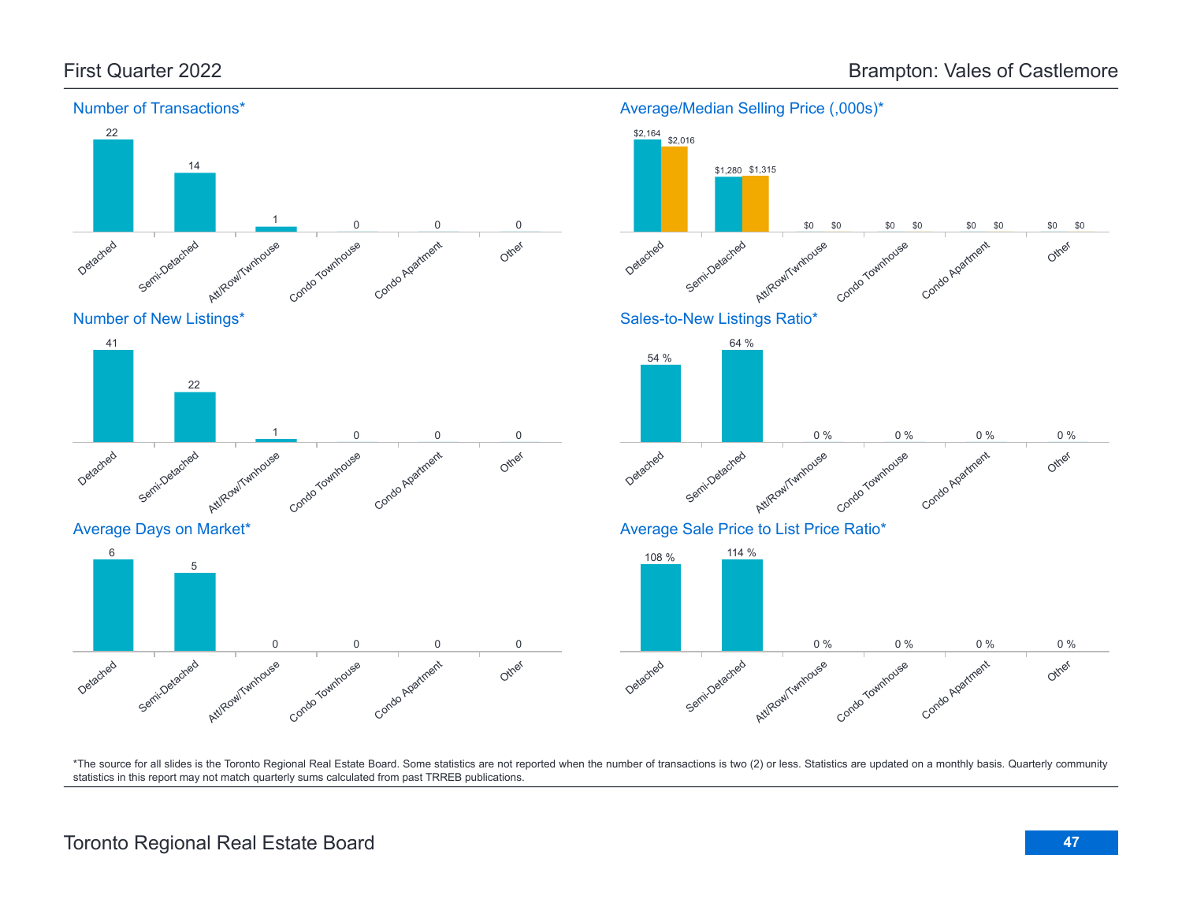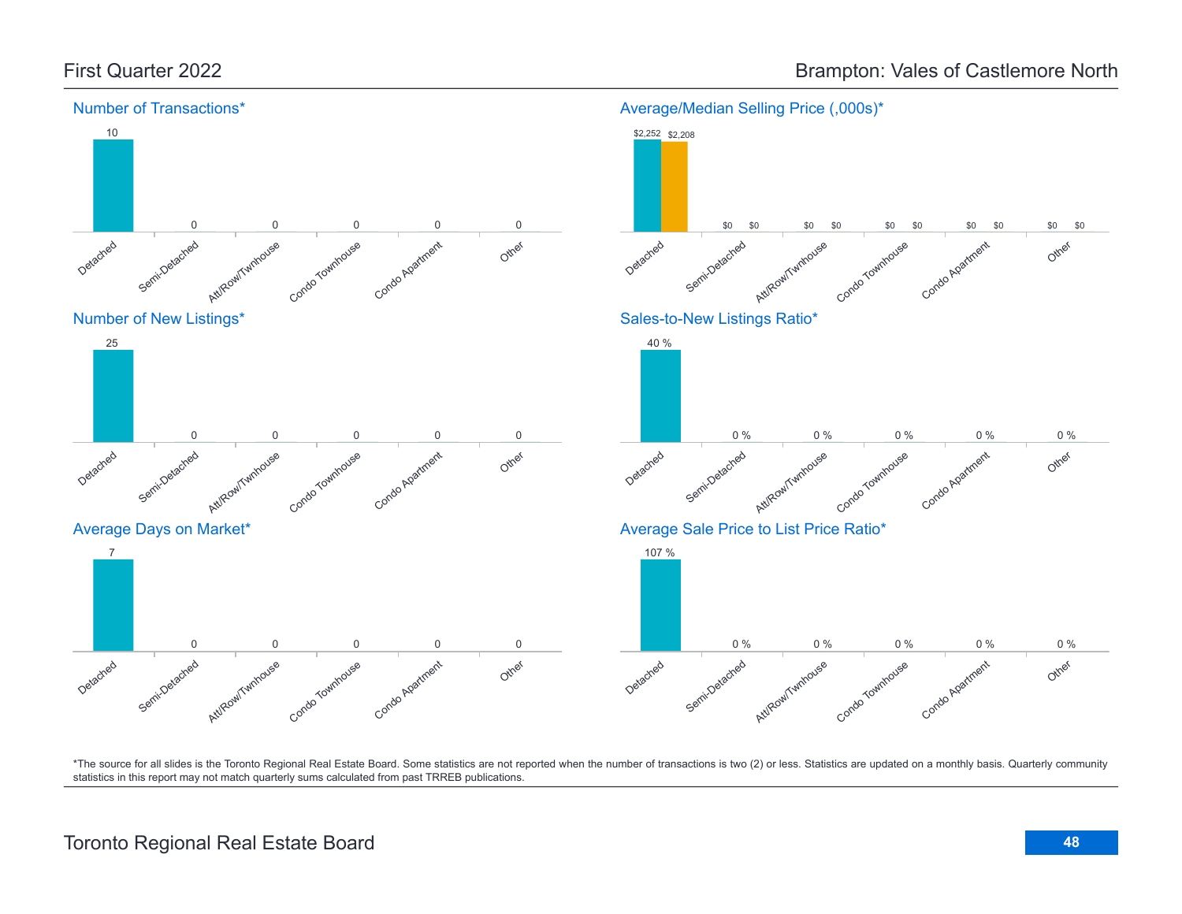